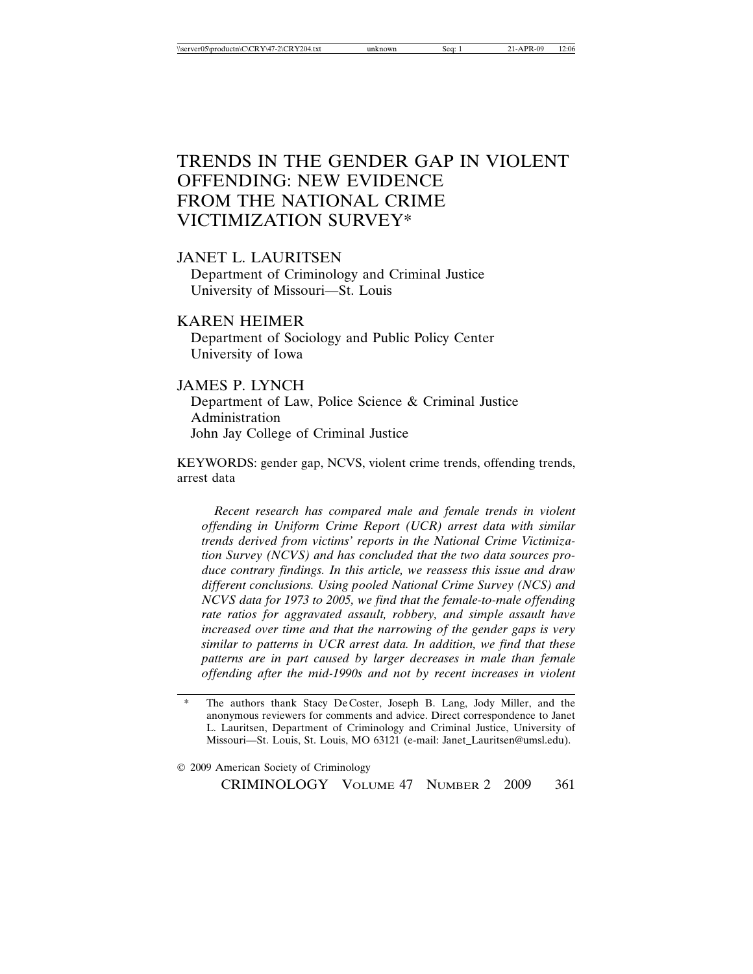# TRENDS IN THE GENDER GAP IN VIOLENT OFFENDING: NEW EVIDENCE FROM THE NATIONAL CRIME VICTIMIZATION SURVEY\*

## JANET L. LAURITSEN

Department of Criminology and Criminal Justice University of Missouri—St. Louis

### KAREN HEIMER

Department of Sociology and Public Policy Center University of Iowa

## JAMES P. LYNCH

Department of Law, Police Science & Criminal Justice Administration John Jay College of Criminal Justice

KEYWORDS: gender gap, NCVS, violent crime trends, offending trends, arrest data

*Recent research has compared male and female trends in violent offending in Uniform Crime Report (UCR) arrest data with similar trends derived from victims' reports in the National Crime Victimization Survey (NCVS) and has concluded that the two data sources produce contrary findings. In this article, we reassess this issue and draw different conclusions. Using pooled National Crime Survey (NCS) and NCVS data for 1973 to 2005, we find that the female-to-male offending rate ratios for aggravated assault, robbery, and simple assault have increased over time and that the narrowing of the gender gaps is very similar to patterns in UCR arrest data. In addition, we find that these patterns are in part caused by larger decreases in male than female offending after the mid-1990s and not by recent increases in violent*

2009 American Society of Criminology

CRIMINOLOGY VOLUME 47 NUMBER 2 2009 361

The authors thank Stacy DeCoster, Joseph B. Lang, Jody Miller, and the anonymous reviewers for comments and advice. Direct correspondence to Janet L. Lauritsen, Department of Criminology and Criminal Justice, University of Missouri—St. Louis, St. Louis, MO 63121 (e-mail: Janet\_Lauritsen@umsl.edu).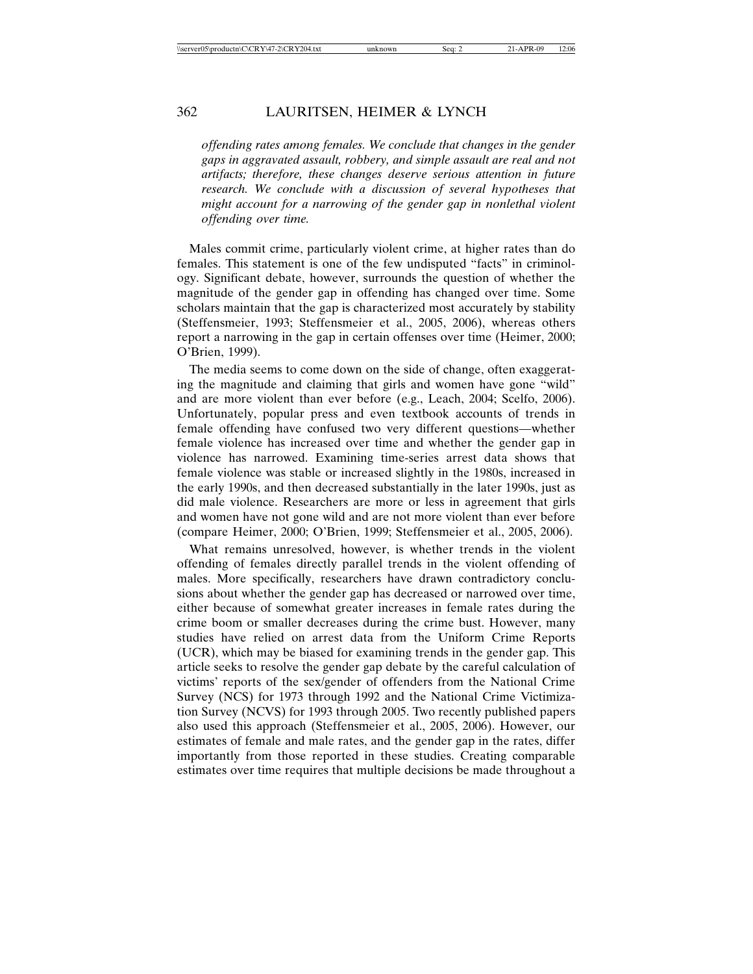*offending rates among females. We conclude that changes in the gender gaps in aggravated assault, robbery, and simple assault are real and not artifacts; therefore, these changes deserve serious attention in future research. We conclude with a discussion of several hypotheses that might account for a narrowing of the gender gap in nonlethal violent offending over time.*

Males commit crime, particularly violent crime, at higher rates than do females. This statement is one of the few undisputed "facts" in criminology. Significant debate, however, surrounds the question of whether the magnitude of the gender gap in offending has changed over time. Some scholars maintain that the gap is characterized most accurately by stability (Steffensmeier, 1993; Steffensmeier et al., 2005, 2006), whereas others report a narrowing in the gap in certain offenses over time (Heimer, 2000; O'Brien, 1999).

The media seems to come down on the side of change, often exaggerating the magnitude and claiming that girls and women have gone "wild" and are more violent than ever before (e.g., Leach, 2004; Scelfo, 2006). Unfortunately, popular press and even textbook accounts of trends in female offending have confused two very different questions—whether female violence has increased over time and whether the gender gap in violence has narrowed. Examining time-series arrest data shows that female violence was stable or increased slightly in the 1980s, increased in the early 1990s, and then decreased substantially in the later 1990s, just as did male violence. Researchers are more or less in agreement that girls and women have not gone wild and are not more violent than ever before (compare Heimer, 2000; O'Brien, 1999; Steffensmeier et al., 2005, 2006).

What remains unresolved, however, is whether trends in the violent offending of females directly parallel trends in the violent offending of males. More specifically, researchers have drawn contradictory conclusions about whether the gender gap has decreased or narrowed over time, either because of somewhat greater increases in female rates during the crime boom or smaller decreases during the crime bust. However, many studies have relied on arrest data from the Uniform Crime Reports (UCR), which may be biased for examining trends in the gender gap. This article seeks to resolve the gender gap debate by the careful calculation of victims' reports of the sex/gender of offenders from the National Crime Survey (NCS) for 1973 through 1992 and the National Crime Victimization Survey (NCVS) for 1993 through 2005. Two recently published papers also used this approach (Steffensmeier et al., 2005, 2006). However, our estimates of female and male rates, and the gender gap in the rates, differ importantly from those reported in these studies. Creating comparable estimates over time requires that multiple decisions be made throughout a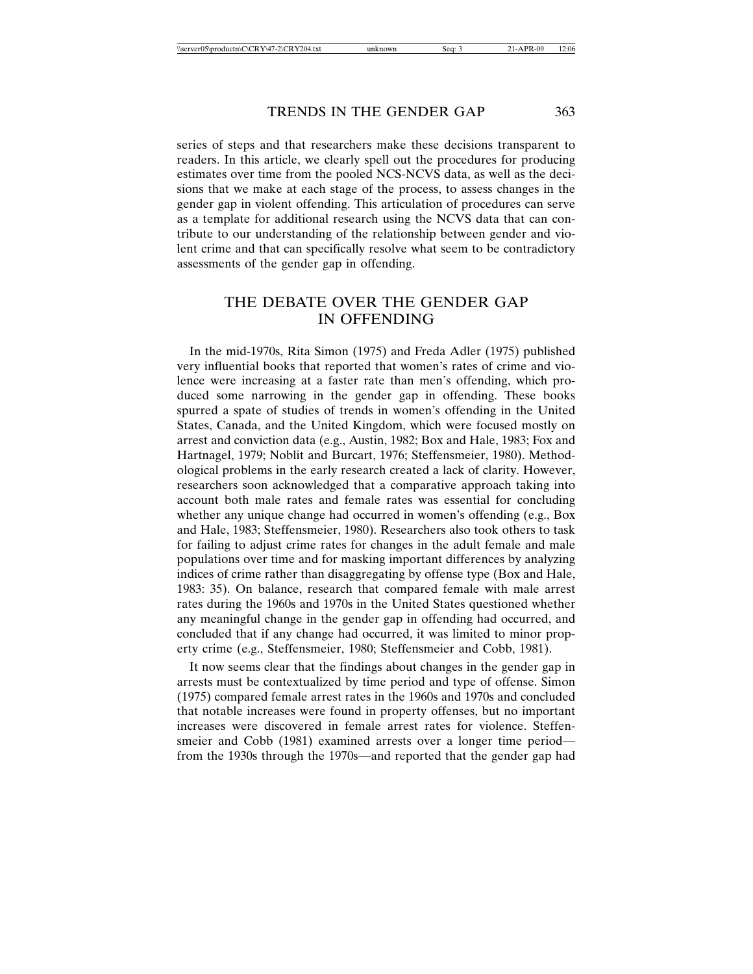series of steps and that researchers make these decisions transparent to readers. In this article, we clearly spell out the procedures for producing estimates over time from the pooled NCS-NCVS data, as well as the decisions that we make at each stage of the process, to assess changes in the gender gap in violent offending. This articulation of procedures can serve as a template for additional research using the NCVS data that can contribute to our understanding of the relationship between gender and violent crime and that can specifically resolve what seem to be contradictory assessments of the gender gap in offending.

## THE DEBATE OVER THE GENDER GAP IN OFFENDING

In the mid-1970s, Rita Simon (1975) and Freda Adler (1975) published very influential books that reported that women's rates of crime and violence were increasing at a faster rate than men's offending, which produced some narrowing in the gender gap in offending. These books spurred a spate of studies of trends in women's offending in the United States, Canada, and the United Kingdom, which were focused mostly on arrest and conviction data (e.g., Austin, 1982; Box and Hale, 1983; Fox and Hartnagel, 1979; Noblit and Burcart, 1976; Steffensmeier, 1980). Methodological problems in the early research created a lack of clarity. However, researchers soon acknowledged that a comparative approach taking into account both male rates and female rates was essential for concluding whether any unique change had occurred in women's offending (e.g., Box and Hale, 1983; Steffensmeier, 1980). Researchers also took others to task for failing to adjust crime rates for changes in the adult female and male populations over time and for masking important differences by analyzing indices of crime rather than disaggregating by offense type (Box and Hale, 1983: 35). On balance, research that compared female with male arrest rates during the 1960s and 1970s in the United States questioned whether any meaningful change in the gender gap in offending had occurred, and concluded that if any change had occurred, it was limited to minor property crime (e.g., Steffensmeier, 1980; Steffensmeier and Cobb, 1981).

It now seems clear that the findings about changes in the gender gap in arrests must be contextualized by time period and type of offense. Simon (1975) compared female arrest rates in the 1960s and 1970s and concluded that notable increases were found in property offenses, but no important increases were discovered in female arrest rates for violence. Steffensmeier and Cobb (1981) examined arrests over a longer time period from the 1930s through the 1970s—and reported that the gender gap had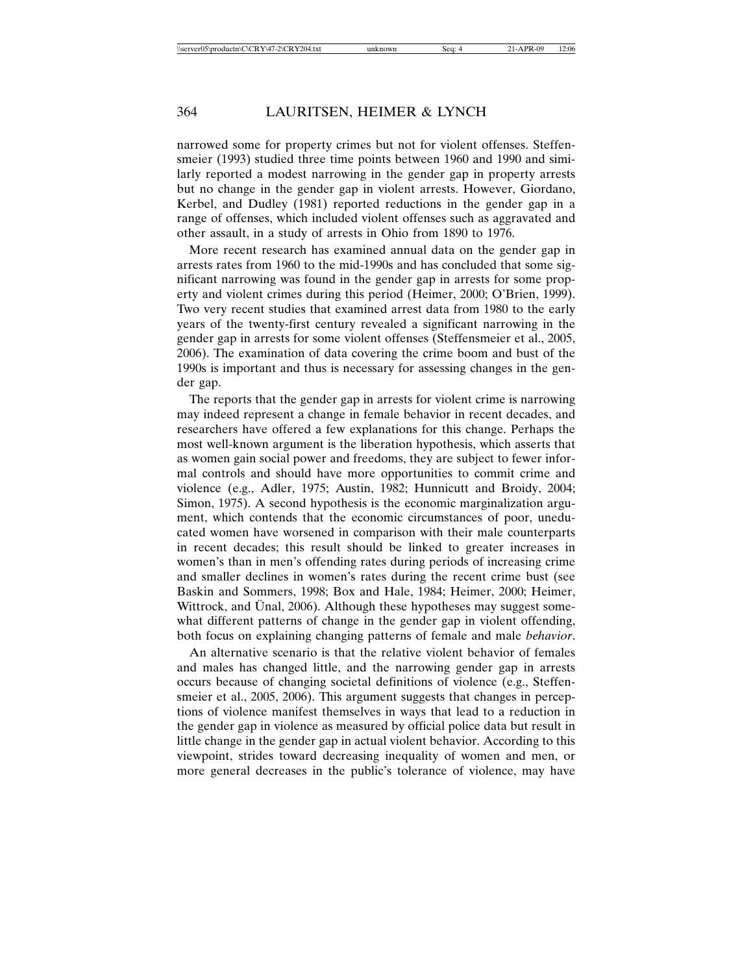narrowed some for property crimes but not for violent offenses. Steffensmeier (1993) studied three time points between 1960 and 1990 and similarly reported a modest narrowing in the gender gap in property arrests but no change in the gender gap in violent arrests. However, Giordano, Kerbel, and Dudley (1981) reported reductions in the gender gap in a range of offenses, which included violent offenses such as aggravated and other assault, in a study of arrests in Ohio from 1890 to 1976.

More recent research has examined annual data on the gender gap in arrests rates from 1960 to the mid-1990s and has concluded that some significant narrowing was found in the gender gap in arrests for some property and violent crimes during this period (Heimer, 2000; O'Brien, 1999). Two very recent studies that examined arrest data from 1980 to the early years of the twenty-first century revealed a significant narrowing in the gender gap in arrests for some violent offenses (Steffensmeier et al., 2005, 2006). The examination of data covering the crime boom and bust of the 1990s is important and thus is necessary for assessing changes in the gender gap.

The reports that the gender gap in arrests for violent crime is narrowing may indeed represent a change in female behavior in recent decades, and researchers have offered a few explanations for this change. Perhaps the most well-known argument is the liberation hypothesis, which asserts that as women gain social power and freedoms, they are subject to fewer informal controls and should have more opportunities to commit crime and violence (e.g., Adler, 1975; Austin, 1982; Hunnicutt and Broidy, 2004; Simon, 1975). A second hypothesis is the economic marginalization argument, which contends that the economic circumstances of poor, uneducated women have worsened in comparison with their male counterparts in recent decades; this result should be linked to greater increases in women's than in men's offending rates during periods of increasing crime and smaller declines in women's rates during the recent crime bust (see Baskin and Sommers, 1998; Box and Hale, 1984; Heimer, 2000; Heimer, Wittrock, and Unal, 2006). Although these hypotheses may suggest somewhat different patterns of change in the gender gap in violent offending, both focus on explaining changing patterns of female and male *behavior*.

An alternative scenario is that the relative violent behavior of females and males has changed little, and the narrowing gender gap in arrests occurs because of changing societal definitions of violence (e.g., Steffensmeier et al., 2005, 2006). This argument suggests that changes in perceptions of violence manifest themselves in ways that lead to a reduction in the gender gap in violence as measured by official police data but result in little change in the gender gap in actual violent behavior. According to this viewpoint, strides toward decreasing inequality of women and men, or more general decreases in the public's tolerance of violence, may have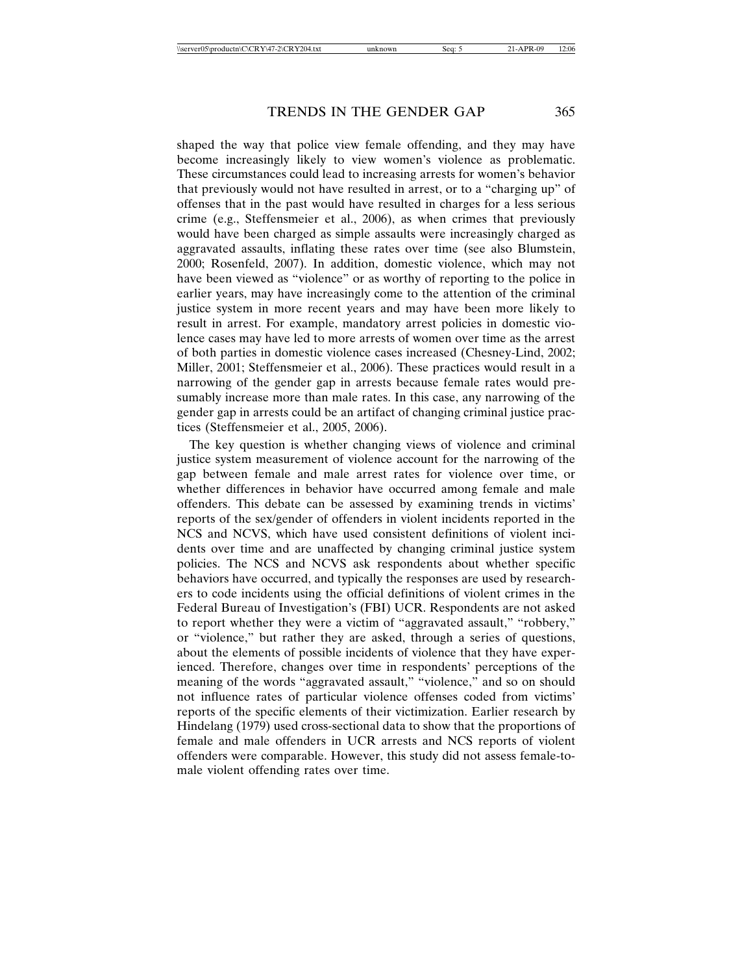shaped the way that police view female offending, and they may have become increasingly likely to view women's violence as problematic. These circumstances could lead to increasing arrests for women's behavior that previously would not have resulted in arrest, or to a "charging up" of offenses that in the past would have resulted in charges for a less serious crime (e.g., Steffensmeier et al., 2006), as when crimes that previously would have been charged as simple assaults were increasingly charged as aggravated assaults, inflating these rates over time (see also Blumstein, 2000; Rosenfeld, 2007). In addition, domestic violence, which may not have been viewed as "violence" or as worthy of reporting to the police in earlier years, may have increasingly come to the attention of the criminal justice system in more recent years and may have been more likely to result in arrest. For example, mandatory arrest policies in domestic violence cases may have led to more arrests of women over time as the arrest of both parties in domestic violence cases increased (Chesney-Lind, 2002; Miller, 2001; Steffensmeier et al., 2006). These practices would result in a narrowing of the gender gap in arrests because female rates would presumably increase more than male rates. In this case, any narrowing of the gender gap in arrests could be an artifact of changing criminal justice practices (Steffensmeier et al., 2005, 2006).

The key question is whether changing views of violence and criminal justice system measurement of violence account for the narrowing of the gap between female and male arrest rates for violence over time, or whether differences in behavior have occurred among female and male offenders. This debate can be assessed by examining trends in victims' reports of the sex/gender of offenders in violent incidents reported in the NCS and NCVS, which have used consistent definitions of violent incidents over time and are unaffected by changing criminal justice system policies. The NCS and NCVS ask respondents about whether specific behaviors have occurred, and typically the responses are used by researchers to code incidents using the official definitions of violent crimes in the Federal Bureau of Investigation's (FBI) UCR. Respondents are not asked to report whether they were a victim of "aggravated assault," "robbery," or "violence," but rather they are asked, through a series of questions, about the elements of possible incidents of violence that they have experienced. Therefore, changes over time in respondents' perceptions of the meaning of the words "aggravated assault," "violence," and so on should not influence rates of particular violence offenses coded from victims' reports of the specific elements of their victimization. Earlier research by Hindelang (1979) used cross-sectional data to show that the proportions of female and male offenders in UCR arrests and NCS reports of violent offenders were comparable. However, this study did not assess female-tomale violent offending rates over time.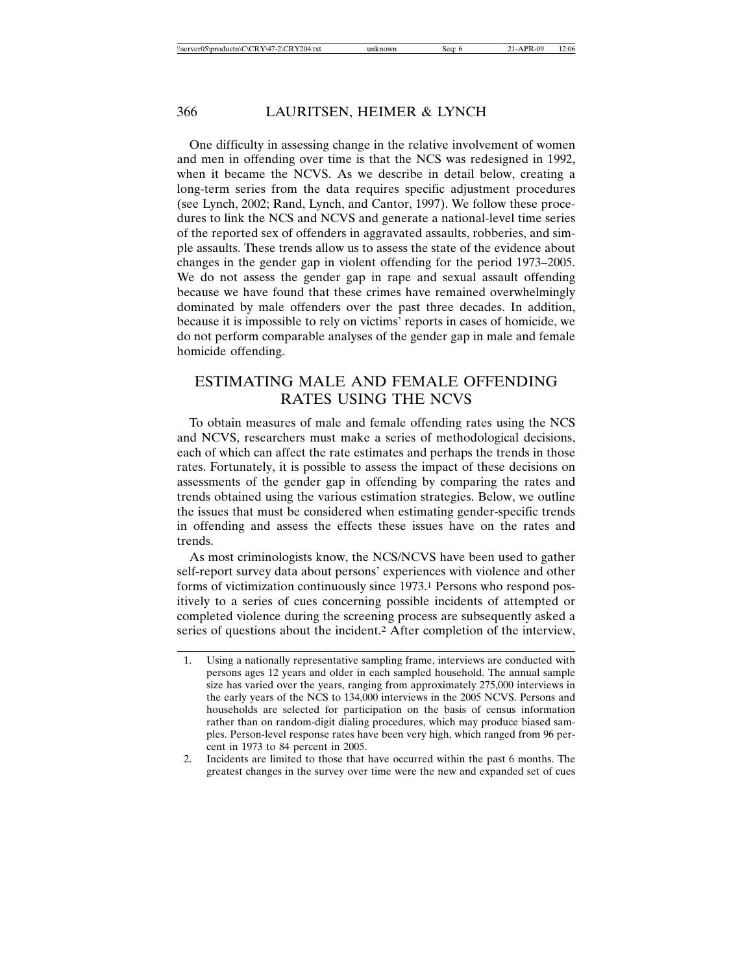One difficulty in assessing change in the relative involvement of women and men in offending over time is that the NCS was redesigned in 1992, when it became the NCVS. As we describe in detail below, creating a long-term series from the data requires specific adjustment procedures (see Lynch, 2002; Rand, Lynch, and Cantor, 1997). We follow these procedures to link the NCS and NCVS and generate a national-level time series of the reported sex of offenders in aggravated assaults, robberies, and simple assaults. These trends allow us to assess the state of the evidence about changes in the gender gap in violent offending for the period 1973–2005. We do not assess the gender gap in rape and sexual assault offending because we have found that these crimes have remained overwhelmingly dominated by male offenders over the past three decades. In addition, because it is impossible to rely on victims' reports in cases of homicide, we do not perform comparable analyses of the gender gap in male and female homicide offending.

## ESTIMATING MALE AND FEMALE OFFENDING RATES USING THE NCVS

To obtain measures of male and female offending rates using the NCS and NCVS, researchers must make a series of methodological decisions, each of which can affect the rate estimates and perhaps the trends in those rates. Fortunately, it is possible to assess the impact of these decisions on assessments of the gender gap in offending by comparing the rates and trends obtained using the various estimation strategies. Below, we outline the issues that must be considered when estimating gender-specific trends in offending and assess the effects these issues have on the rates and trends.

As most criminologists know, the NCS/NCVS have been used to gather self-report survey data about persons' experiences with violence and other forms of victimization continuously since 1973.1 Persons who respond positively to a series of cues concerning possible incidents of attempted or completed violence during the screening process are subsequently asked a series of questions about the incident.2 After completion of the interview,

<sup>1.</sup> Using a nationally representative sampling frame, interviews are conducted with persons ages 12 years and older in each sampled household. The annual sample size has varied over the years, ranging from approximately 275,000 interviews in the early years of the NCS to 134,000 interviews in the 2005 NCVS. Persons and households are selected for participation on the basis of census information rather than on random-digit dialing procedures, which may produce biased samples. Person-level response rates have been very high, which ranged from 96 percent in 1973 to 84 percent in 2005.

Incidents are limited to those that have occurred within the past 6 months. The greatest changes in the survey over time were the new and expanded set of cues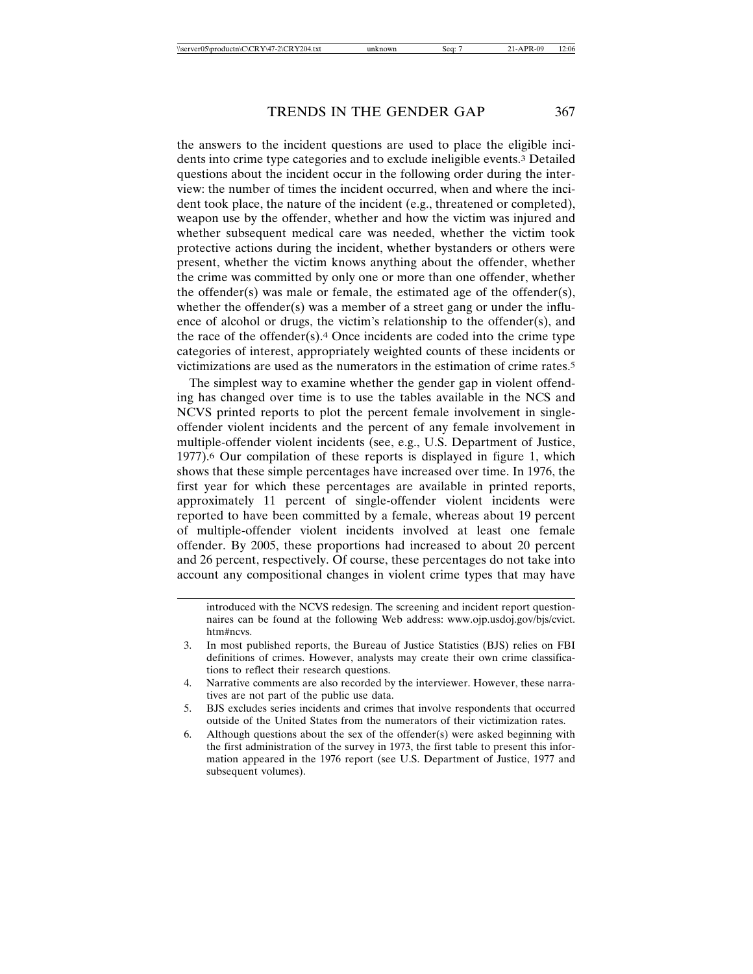the answers to the incident questions are used to place the eligible incidents into crime type categories and to exclude ineligible events.3 Detailed questions about the incident occur in the following order during the interview: the number of times the incident occurred, when and where the incident took place, the nature of the incident (e.g., threatened or completed), weapon use by the offender, whether and how the victim was injured and whether subsequent medical care was needed, whether the victim took protective actions during the incident, whether bystanders or others were present, whether the victim knows anything about the offender, whether the crime was committed by only one or more than one offender, whether the offender(s) was male or female, the estimated age of the offender(s), whether the offender(s) was a member of a street gang or under the influence of alcohol or drugs, the victim's relationship to the offender(s), and the race of the offender(s).<sup>4</sup> Once incidents are coded into the crime type categories of interest, appropriately weighted counts of these incidents or victimizations are used as the numerators in the estimation of crime rates.5

The simplest way to examine whether the gender gap in violent offending has changed over time is to use the tables available in the NCS and NCVS printed reports to plot the percent female involvement in singleoffender violent incidents and the percent of any female involvement in multiple-offender violent incidents (see, e.g., U.S. Department of Justice, 1977).6 Our compilation of these reports is displayed in figure 1, which shows that these simple percentages have increased over time. In 1976, the first year for which these percentages are available in printed reports, approximately 11 percent of single-offender violent incidents were reported to have been committed by a female, whereas about 19 percent of multiple-offender violent incidents involved at least one female offender. By 2005, these proportions had increased to about 20 percent and 26 percent, respectively. Of course, these percentages do not take into account any compositional changes in violent crime types that may have

introduced with the NCVS redesign. The screening and incident report questionnaires can be found at the following Web address: www.ojp.usdoj.gov/bjs/cvict. htm#ncvs.

<sup>3.</sup> In most published reports, the Bureau of Justice Statistics (BJS) relies on FBI definitions of crimes. However, analysts may create their own crime classifications to reflect their research questions.

<sup>4.</sup> Narrative comments are also recorded by the interviewer. However, these narratives are not part of the public use data.

<sup>5.</sup> BJS excludes series incidents and crimes that involve respondents that occurred outside of the United States from the numerators of their victimization rates.

<sup>6.</sup> Although questions about the sex of the offender(s) were asked beginning with the first administration of the survey in 1973, the first table to present this information appeared in the 1976 report (see U.S. Department of Justice, 1977 and subsequent volumes).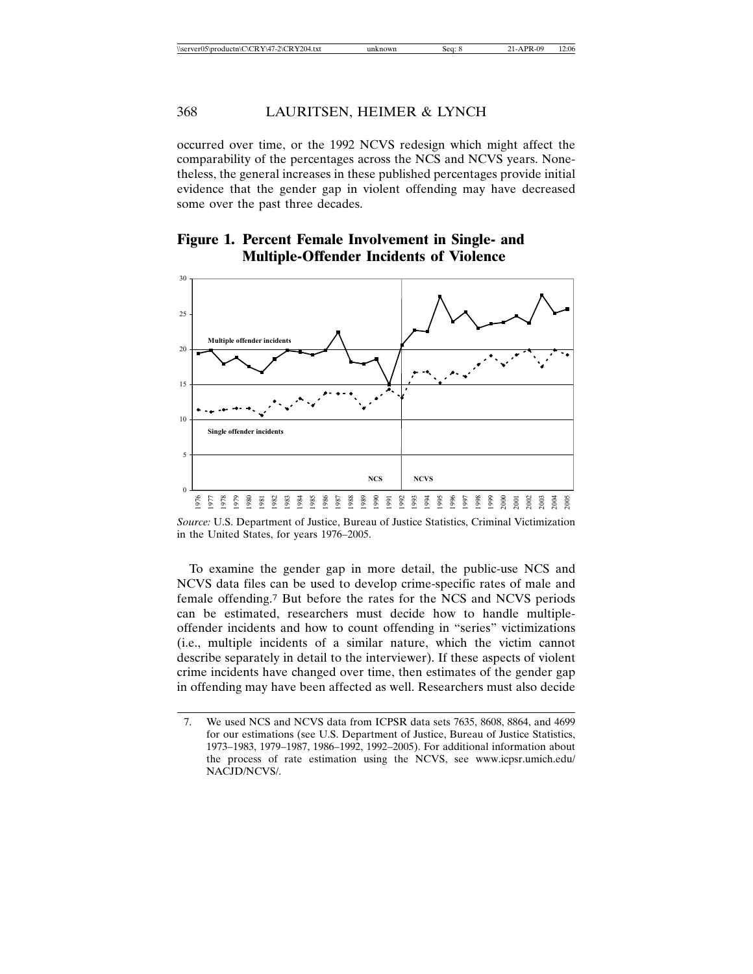occurred over time, or the 1992 NCVS redesign which might affect the comparability of the percentages across the NCS and NCVS years. Nonetheless, the general increases in these published percentages provide initial evidence that the gender gap in violent offending may have decreased some over the past three decades.

## **Figure 1. Percent Female Involvement in Single- and Multiple-Offender Incidents of Violence**



*Source:* U.S. Department of Justice, Bureau of Justice Statistics, Criminal Victimization in the United States, for years 1976–2005.

To examine the gender gap in more detail, the public-use NCS and NCVS data files can be used to develop crime-specific rates of male and female offending.7 But before the rates for the NCS and NCVS periods can be estimated, researchers must decide how to handle multipleoffender incidents and how to count offending in "series" victimizations (i.e., multiple incidents of a similar nature, which the victim cannot describe separately in detail to the interviewer). If these aspects of violent crime incidents have changed over time, then estimates of the gender gap in offending may have been affected as well. Researchers must also decide

<sup>7.</sup> We used NCS and NCVS data from ICPSR data sets 7635, 8608, 8864, and 4699 for our estimations (see U.S. Department of Justice, Bureau of Justice Statistics, 1973–1983, 1979–1987, 1986–1992, 1992–2005). For additional information about the process of rate estimation using the NCVS, see www.icpsr.umich.edu/ NACJD/NCVS/.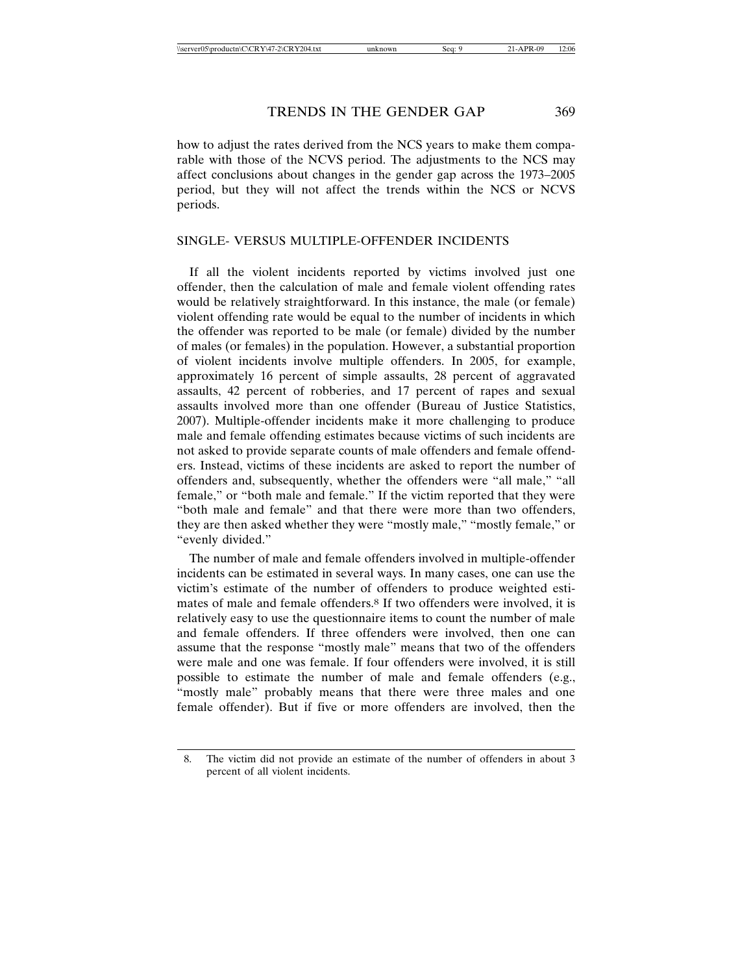how to adjust the rates derived from the NCS years to make them comparable with those of the NCVS period. The adjustments to the NCS may affect conclusions about changes in the gender gap across the 1973–2005 period, but they will not affect the trends within the NCS or NCVS periods.

#### SINGLE- VERSUS MULTIPLE-OFFENDER INCIDENTS

If all the violent incidents reported by victims involved just one offender, then the calculation of male and female violent offending rates would be relatively straightforward. In this instance, the male (or female) violent offending rate would be equal to the number of incidents in which the offender was reported to be male (or female) divided by the number of males (or females) in the population. However, a substantial proportion of violent incidents involve multiple offenders. In 2005, for example, approximately 16 percent of simple assaults, 28 percent of aggravated assaults, 42 percent of robberies, and 17 percent of rapes and sexual assaults involved more than one offender (Bureau of Justice Statistics, 2007). Multiple-offender incidents make it more challenging to produce male and female offending estimates because victims of such incidents are not asked to provide separate counts of male offenders and female offenders. Instead, victims of these incidents are asked to report the number of offenders and, subsequently, whether the offenders were "all male," "all female," or "both male and female." If the victim reported that they were "both male and female" and that there were more than two offenders, they are then asked whether they were "mostly male," "mostly female," or "evenly divided."

The number of male and female offenders involved in multiple-offender incidents can be estimated in several ways. In many cases, one can use the victim's estimate of the number of offenders to produce weighted estimates of male and female offenders.8 If two offenders were involved, it is relatively easy to use the questionnaire items to count the number of male and female offenders. If three offenders were involved, then one can assume that the response "mostly male" means that two of the offenders were male and one was female. If four offenders were involved, it is still possible to estimate the number of male and female offenders (e.g., "mostly male" probably means that there were three males and one female offender). But if five or more offenders are involved, then the

<sup>8.</sup> The victim did not provide an estimate of the number of offenders in about 3 percent of all violent incidents.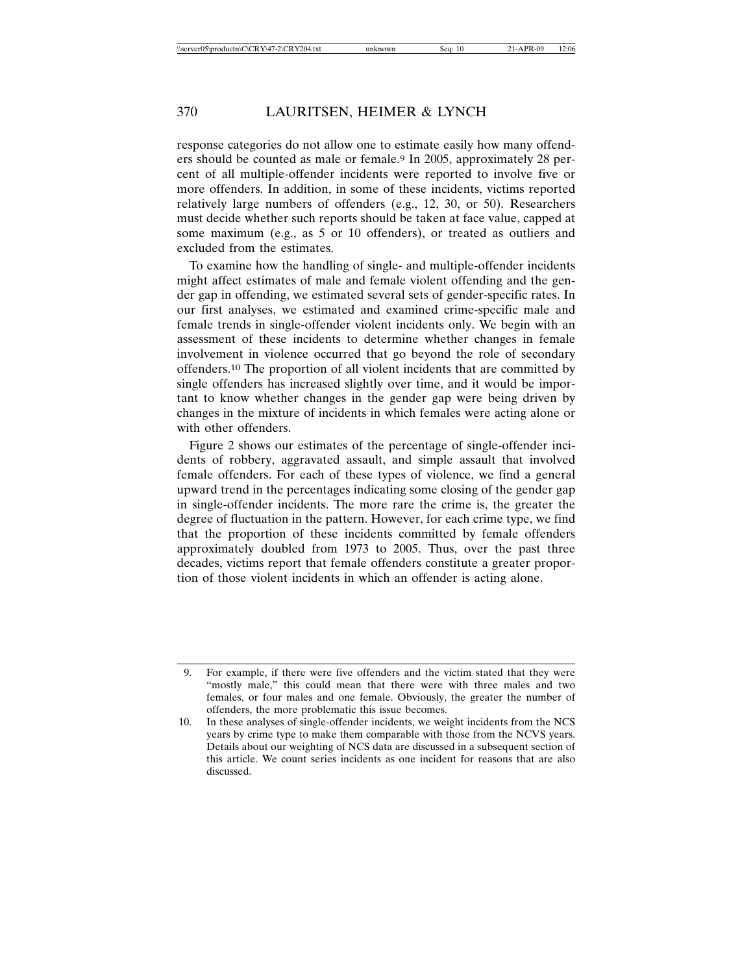response categories do not allow one to estimate easily how many offenders should be counted as male or female.9 In 2005, approximately 28 percent of all multiple-offender incidents were reported to involve five or more offenders. In addition, in some of these incidents, victims reported relatively large numbers of offenders (e.g., 12, 30, or 50). Researchers must decide whether such reports should be taken at face value, capped at some maximum (e.g., as 5 or 10 offenders), or treated as outliers and excluded from the estimates.

To examine how the handling of single- and multiple-offender incidents might affect estimates of male and female violent offending and the gender gap in offending, we estimated several sets of gender-specific rates. In our first analyses, we estimated and examined crime-specific male and female trends in single-offender violent incidents only. We begin with an assessment of these incidents to determine whether changes in female involvement in violence occurred that go beyond the role of secondary offenders.10 The proportion of all violent incidents that are committed by single offenders has increased slightly over time, and it would be important to know whether changes in the gender gap were being driven by changes in the mixture of incidents in which females were acting alone or with other offenders.

Figure 2 shows our estimates of the percentage of single-offender incidents of robbery, aggravated assault, and simple assault that involved female offenders. For each of these types of violence, we find a general upward trend in the percentages indicating some closing of the gender gap in single-offender incidents. The more rare the crime is, the greater the degree of fluctuation in the pattern. However, for each crime type, we find that the proportion of these incidents committed by female offenders approximately doubled from 1973 to 2005. Thus, over the past three decades, victims report that female offenders constitute a greater proportion of those violent incidents in which an offender is acting alone.

<sup>9.</sup> For example, if there were five offenders and the victim stated that they were "mostly male," this could mean that there were with three males and two females, or four males and one female. Obviously, the greater the number of offenders, the more problematic this issue becomes.

<sup>10.</sup> In these analyses of single-offender incidents, we weight incidents from the NCS years by crime type to make them comparable with those from the NCVS years. Details about our weighting of NCS data are discussed in a subsequent section of this article. We count series incidents as one incident for reasons that are also discussed.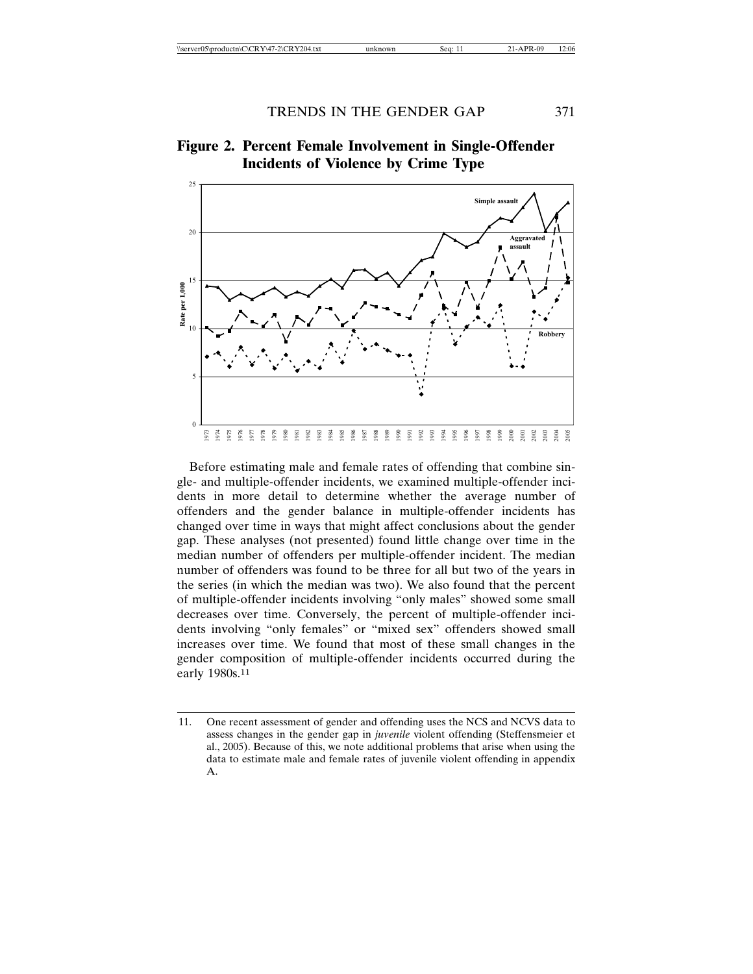

## **Figure 2. Percent Female Involvement in Single-Offender Incidents of Violence by Crime Type**

Before estimating male and female rates of offending that combine single- and multiple-offender incidents, we examined multiple-offender incidents in more detail to determine whether the average number of offenders and the gender balance in multiple-offender incidents has changed over time in ways that might affect conclusions about the gender gap. These analyses (not presented) found little change over time in the median number of offenders per multiple-offender incident. The median number of offenders was found to be three for all but two of the years in the series (in which the median was two). We also found that the percent of multiple-offender incidents involving "only males" showed some small decreases over time. Conversely, the percent of multiple-offender incidents involving "only females" or "mixed sex" offenders showed small increases over time. We found that most of these small changes in the gender composition of multiple-offender incidents occurred during the early 1980s.11

<sup>11.</sup> One recent assessment of gender and offending uses the NCS and NCVS data to assess changes in the gender gap in *juvenile* violent offending (Steffensmeier et al., 2005). Because of this, we note additional problems that arise when using the data to estimate male and female rates of juvenile violent offending in appendix A.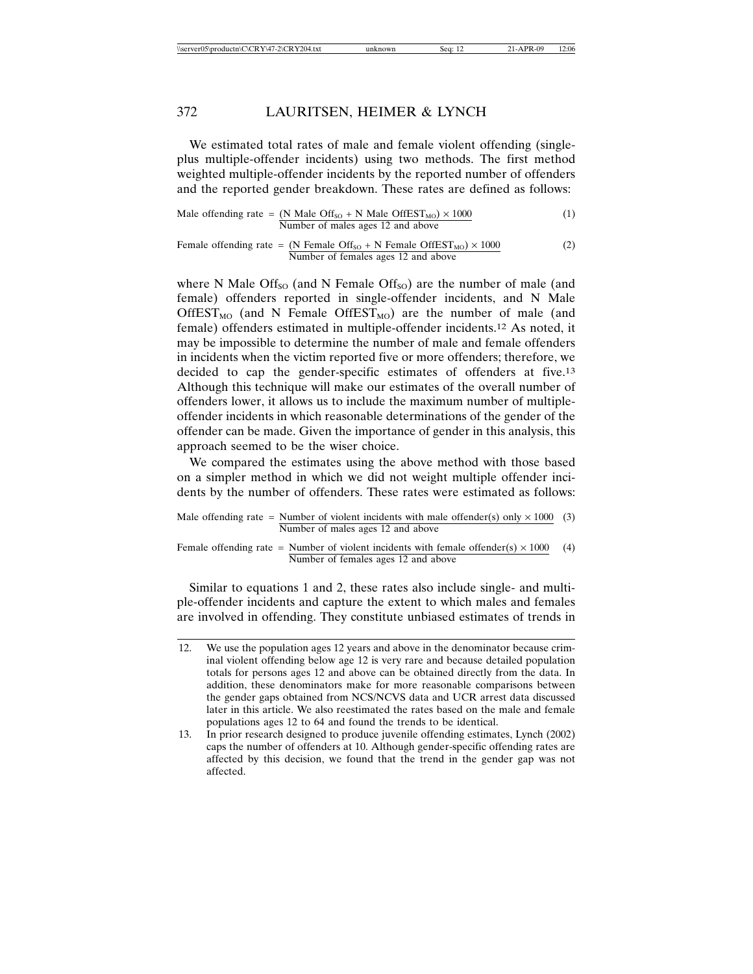We estimated total rates of male and female violent offending (singleplus multiple-offender incidents) using two methods. The first method weighted multiple-offender incidents by the reported number of offenders and the reported gender breakdown. These rates are defined as follows:

Male offending rate = 
$$
(N \text{ Male Off}_{\text{SO}} + N \text{ Male OffEST}_{\text{MO}}) \times 1000
$$
 (1)

\nFemale offending rate =  $(N \text{ Female Off}_{\text{SO}} + N \text{ Female OffEST}_{\text{MO}}) \times 1000$  (2)

\nNumber of females ages 12 and above

where N Male Off<sub>so</sub> (and N Female Off<sub>so</sub>) are the number of male (and female) offenders reported in single-offender incidents, and N Male  $OffEST<sub>MO</sub>$  (and N Female  $OffEST<sub>MO</sub>$ ) are the number of male (and female) offenders estimated in multiple-offender incidents.12 As noted, it may be impossible to determine the number of male and female offenders in incidents when the victim reported five or more offenders; therefore, we decided to cap the gender-specific estimates of offenders at five.13 Although this technique will make our estimates of the overall number of offenders lower, it allows us to include the maximum number of multipleoffender incidents in which reasonable determinations of the gender of the offender can be made. Given the importance of gender in this analysis, this approach seemed to be the wiser choice.

We compared the estimates using the above method with those based on a simpler method in which we did not weight multiple offender incidents by the number of offenders. These rates were estimated as follows:

| Male offending rate = Number of violent incidents with male offender(s) only $\times$ 1000 (3) |     |
|------------------------------------------------------------------------------------------------|-----|
| Number of males ages 12 and above                                                              |     |
| Female offending rate = Number of violent incidents with female offender(s) $\times$ 1000      | (4) |
| Number of females ages 12 and above                                                            |     |

Similar to equations 1 and 2, these rates also include single- and multiple-offender incidents and capture the extent to which males and females are involved in offending. They constitute unbiased estimates of trends in

<sup>12.</sup> We use the population ages 12 years and above in the denominator because criminal violent offending below age 12 is very rare and because detailed population totals for persons ages 12 and above can be obtained directly from the data. In addition, these denominators make for more reasonable comparisons between the gender gaps obtained from NCS/NCVS data and UCR arrest data discussed later in this article. We also reestimated the rates based on the male and female populations ages 12 to 64 and found the trends to be identical.

<sup>13.</sup> In prior research designed to produce juvenile offending estimates, Lynch (2002) caps the number of offenders at 10. Although gender-specific offending rates are affected by this decision, we found that the trend in the gender gap was not affected.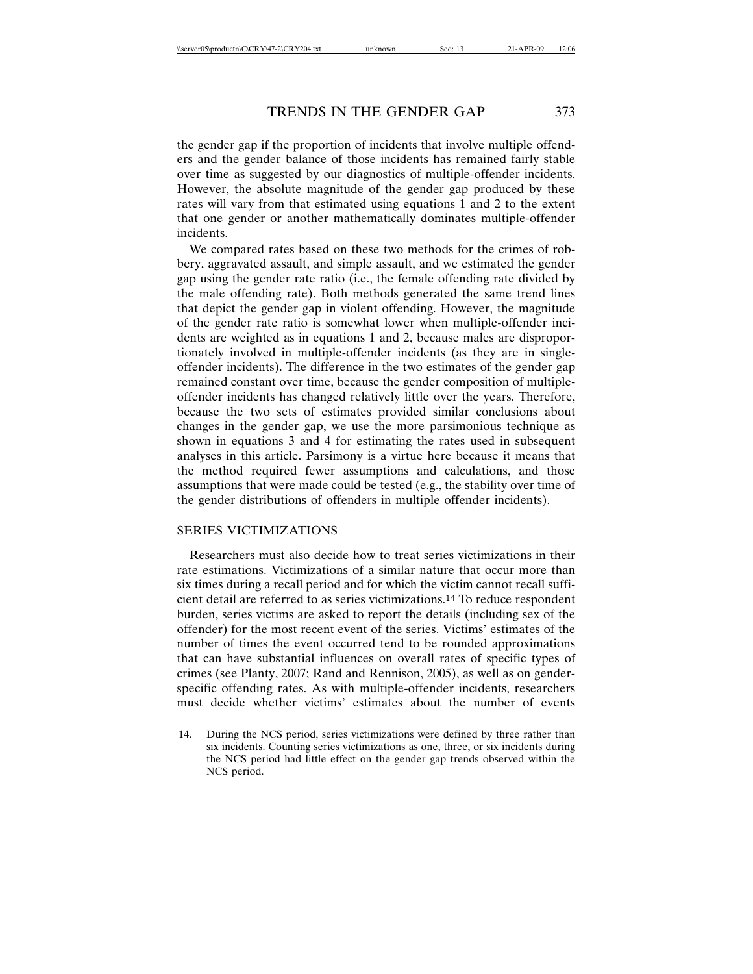the gender gap if the proportion of incidents that involve multiple offenders and the gender balance of those incidents has remained fairly stable over time as suggested by our diagnostics of multiple-offender incidents. However, the absolute magnitude of the gender gap produced by these rates will vary from that estimated using equations 1 and 2 to the extent that one gender or another mathematically dominates multiple-offender incidents.

We compared rates based on these two methods for the crimes of robbery, aggravated assault, and simple assault, and we estimated the gender gap using the gender rate ratio (i.e., the female offending rate divided by the male offending rate). Both methods generated the same trend lines that depict the gender gap in violent offending. However, the magnitude of the gender rate ratio is somewhat lower when multiple-offender incidents are weighted as in equations 1 and 2, because males are disproportionately involved in multiple-offender incidents (as they are in singleoffender incidents). The difference in the two estimates of the gender gap remained constant over time, because the gender composition of multipleoffender incidents has changed relatively little over the years. Therefore, because the two sets of estimates provided similar conclusions about changes in the gender gap, we use the more parsimonious technique as shown in equations 3 and 4 for estimating the rates used in subsequent analyses in this article. Parsimony is a virtue here because it means that the method required fewer assumptions and calculations, and those assumptions that were made could be tested (e.g., the stability over time of the gender distributions of offenders in multiple offender incidents).

### SERIES VICTIMIZATIONS

Researchers must also decide how to treat series victimizations in their rate estimations. Victimizations of a similar nature that occur more than six times during a recall period and for which the victim cannot recall sufficient detail are referred to as series victimizations.14 To reduce respondent burden, series victims are asked to report the details (including sex of the offender) for the most recent event of the series. Victims' estimates of the number of times the event occurred tend to be rounded approximations that can have substantial influences on overall rates of specific types of crimes (see Planty, 2007; Rand and Rennison, 2005), as well as on genderspecific offending rates. As with multiple-offender incidents, researchers must decide whether victims' estimates about the number of events

<sup>14.</sup> During the NCS period, series victimizations were defined by three rather than six incidents. Counting series victimizations as one, three, or six incidents during the NCS period had little effect on the gender gap trends observed within the NCS period.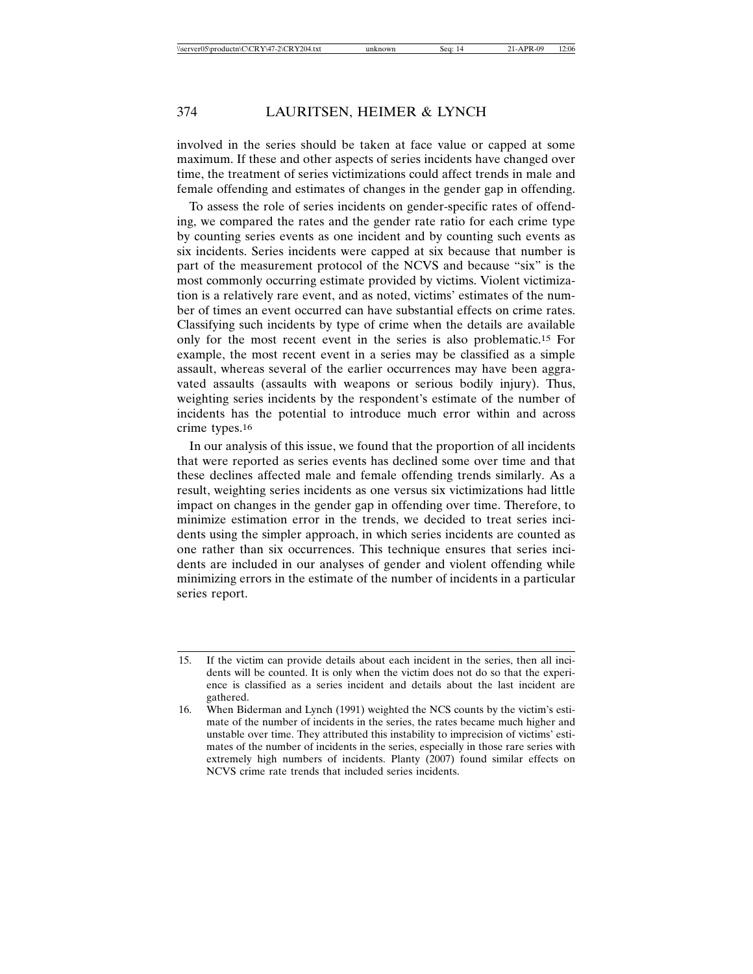involved in the series should be taken at face value or capped at some maximum. If these and other aspects of series incidents have changed over time, the treatment of series victimizations could affect trends in male and female offending and estimates of changes in the gender gap in offending.

To assess the role of series incidents on gender-specific rates of offending, we compared the rates and the gender rate ratio for each crime type by counting series events as one incident and by counting such events as six incidents. Series incidents were capped at six because that number is part of the measurement protocol of the NCVS and because "six" is the most commonly occurring estimate provided by victims. Violent victimization is a relatively rare event, and as noted, victims' estimates of the number of times an event occurred can have substantial effects on crime rates. Classifying such incidents by type of crime when the details are available only for the most recent event in the series is also problematic.15 For example, the most recent event in a series may be classified as a simple assault, whereas several of the earlier occurrences may have been aggravated assaults (assaults with weapons or serious bodily injury). Thus, weighting series incidents by the respondent's estimate of the number of incidents has the potential to introduce much error within and across crime types.16

In our analysis of this issue, we found that the proportion of all incidents that were reported as series events has declined some over time and that these declines affected male and female offending trends similarly. As a result, weighting series incidents as one versus six victimizations had little impact on changes in the gender gap in offending over time. Therefore, to minimize estimation error in the trends, we decided to treat series incidents using the simpler approach, in which series incidents are counted as one rather than six occurrences. This technique ensures that series incidents are included in our analyses of gender and violent offending while minimizing errors in the estimate of the number of incidents in a particular series report.

<sup>15.</sup> If the victim can provide details about each incident in the series, then all incidents will be counted. It is only when the victim does not do so that the experience is classified as a series incident and details about the last incident are gathered.

<sup>16.</sup> When Biderman and Lynch (1991) weighted the NCS counts by the victim's estimate of the number of incidents in the series, the rates became much higher and unstable over time. They attributed this instability to imprecision of victims' estimates of the number of incidents in the series, especially in those rare series with extremely high numbers of incidents. Planty (2007) found similar effects on NCVS crime rate trends that included series incidents.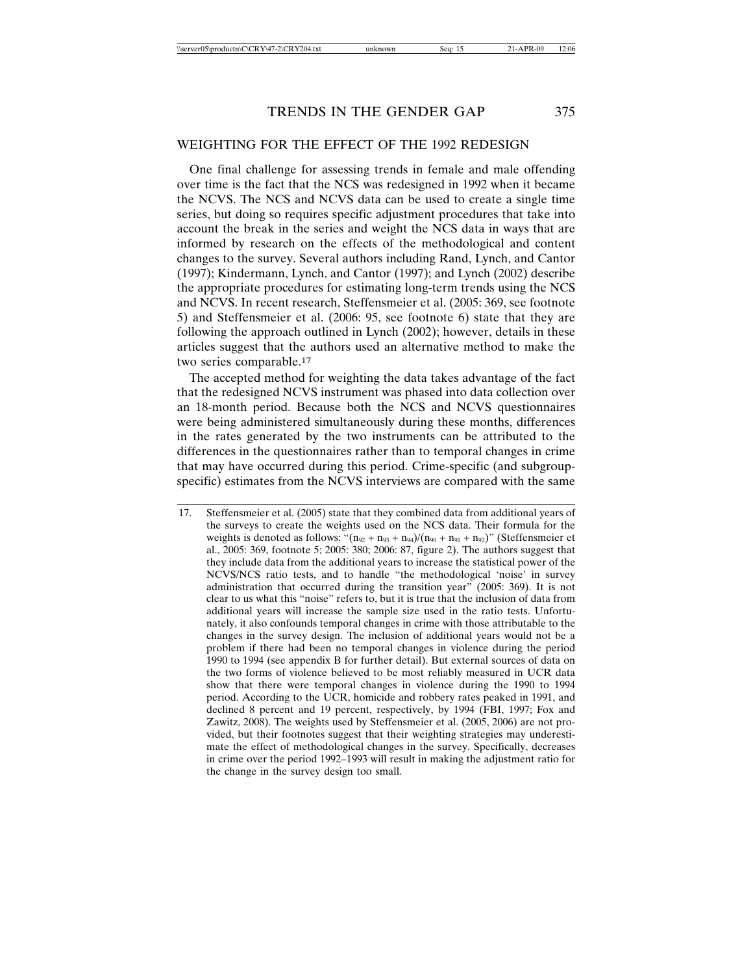#### WEIGHTING FOR THE EFFECT OF THE 1992 REDESIGN

One final challenge for assessing trends in female and male offending over time is the fact that the NCS was redesigned in 1992 when it became the NCVS. The NCS and NCVS data can be used to create a single time series, but doing so requires specific adjustment procedures that take into account the break in the series and weight the NCS data in ways that are informed by research on the effects of the methodological and content changes to the survey. Several authors including Rand, Lynch, and Cantor (1997); Kindermann, Lynch, and Cantor (1997); and Lynch (2002) describe the appropriate procedures for estimating long-term trends using the NCS and NCVS. In recent research, Steffensmeier et al. (2005: 369, see footnote 5) and Steffensmeier et al. (2006: 95, see footnote 6) state that they are following the approach outlined in Lynch (2002); however, details in these articles suggest that the authors used an alternative method to make the two series comparable.17

The accepted method for weighting the data takes advantage of the fact that the redesigned NCVS instrument was phased into data collection over an 18-month period. Because both the NCS and NCVS questionnaires were being administered simultaneously during these months, differences in the rates generated by the two instruments can be attributed to the differences in the questionnaires rather than to temporal changes in crime that may have occurred during this period. Crime-specific (and subgroupspecific) estimates from the NCVS interviews are compared with the same

<sup>17.</sup> Steffensmeier et al. (2005) state that they combined data from additional years of the surveys to create the weights used on the NCS data. Their formula for the weights is denoted as follows: " $(n_{92} + n_{93} + n_{94})/(n_{90} + n_{91} + n_{92})$ " (Steffensmeier et al., 2005: 369, footnote 5; 2005: 380; 2006: 87, figure 2). The authors suggest that they include data from the additional years to increase the statistical power of the NCVS/NCS ratio tests, and to handle "the methodological 'noise' in survey administration that occurred during the transition year" (2005: 369). It is not clear to us what this "noise" refers to, but it is true that the inclusion of data from additional years will increase the sample size used in the ratio tests. Unfortunately, it also confounds temporal changes in crime with those attributable to the changes in the survey design. The inclusion of additional years would not be a problem if there had been no temporal changes in violence during the period 1990 to 1994 (see appendix B for further detail). But external sources of data on the two forms of violence believed to be most reliably measured in UCR data show that there were temporal changes in violence during the 1990 to 1994 period. According to the UCR, homicide and robbery rates peaked in 1991, and declined 8 percent and 19 percent, respectively, by 1994 (FBI, 1997; Fox and Zawitz, 2008). The weights used by Steffensmeier et al. (2005, 2006) are not provided, but their footnotes suggest that their weighting strategies may underestimate the effect of methodological changes in the survey. Specifically, decreases in crime over the period 1992–1993 will result in making the adjustment ratio for the change in the survey design too small.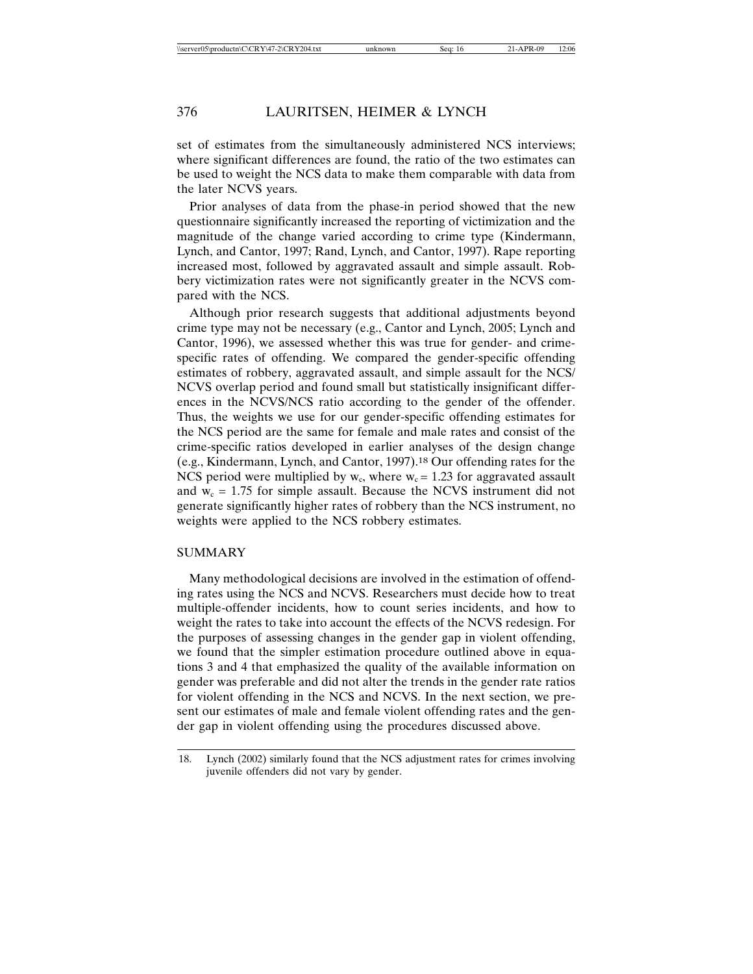set of estimates from the simultaneously administered NCS interviews; where significant differences are found, the ratio of the two estimates can be used to weight the NCS data to make them comparable with data from the later NCVS years.

Prior analyses of data from the phase-in period showed that the new questionnaire significantly increased the reporting of victimization and the magnitude of the change varied according to crime type (Kindermann, Lynch, and Cantor, 1997; Rand, Lynch, and Cantor, 1997). Rape reporting increased most, followed by aggravated assault and simple assault. Robbery victimization rates were not significantly greater in the NCVS compared with the NCS.

Although prior research suggests that additional adjustments beyond crime type may not be necessary (e.g., Cantor and Lynch, 2005; Lynch and Cantor, 1996), we assessed whether this was true for gender- and crimespecific rates of offending. We compared the gender-specific offending estimates of robbery, aggravated assault, and simple assault for the NCS/ NCVS overlap period and found small but statistically insignificant differences in the NCVS/NCS ratio according to the gender of the offender. Thus, the weights we use for our gender-specific offending estimates for the NCS period are the same for female and male rates and consist of the crime-specific ratios developed in earlier analyses of the design change (e.g., Kindermann, Lynch, and Cantor, 1997).18 Our offending rates for the NCS period were multiplied by  $w_c$ , where  $w_c = 1.23$  for aggravated assault and  $w_c = 1.75$  for simple assault. Because the NCVS instrument did not generate significantly higher rates of robbery than the NCS instrument, no weights were applied to the NCS robbery estimates.

#### SUMMARY

Many methodological decisions are involved in the estimation of offending rates using the NCS and NCVS. Researchers must decide how to treat multiple-offender incidents, how to count series incidents, and how to weight the rates to take into account the effects of the NCVS redesign. For the purposes of assessing changes in the gender gap in violent offending, we found that the simpler estimation procedure outlined above in equations 3 and 4 that emphasized the quality of the available information on gender was preferable and did not alter the trends in the gender rate ratios for violent offending in the NCS and NCVS. In the next section, we present our estimates of male and female violent offending rates and the gender gap in violent offending using the procedures discussed above.

<sup>18.</sup> Lynch (2002) similarly found that the NCS adjustment rates for crimes involving juvenile offenders did not vary by gender.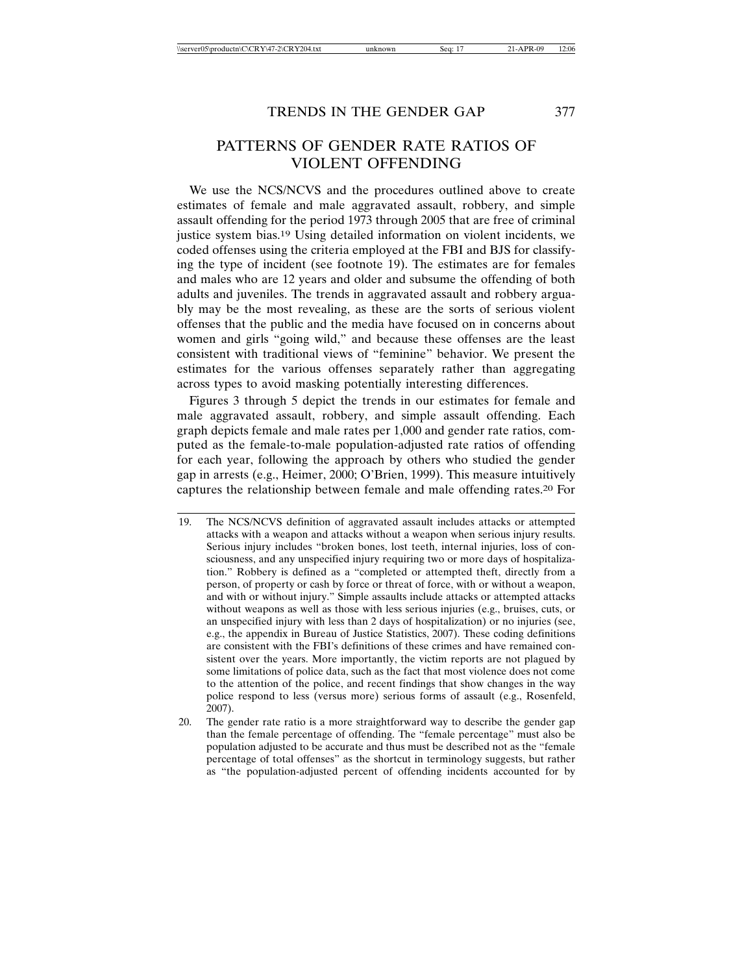## PATTERNS OF GENDER RATE RATIOS OF VIOLENT OFFENDING

We use the NCS/NCVS and the procedures outlined above to create estimates of female and male aggravated assault, robbery, and simple assault offending for the period 1973 through 2005 that are free of criminal justice system bias.19 Using detailed information on violent incidents, we coded offenses using the criteria employed at the FBI and BJS for classifying the type of incident (see footnote 19). The estimates are for females and males who are 12 years and older and subsume the offending of both adults and juveniles. The trends in aggravated assault and robbery arguably may be the most revealing, as these are the sorts of serious violent offenses that the public and the media have focused on in concerns about women and girls "going wild," and because these offenses are the least consistent with traditional views of "feminine" behavior. We present the estimates for the various offenses separately rather than aggregating across types to avoid masking potentially interesting differences.

Figures 3 through 5 depict the trends in our estimates for female and male aggravated assault, robbery, and simple assault offending. Each graph depicts female and male rates per 1,000 and gender rate ratios, computed as the female-to-male population-adjusted rate ratios of offending for each year, following the approach by others who studied the gender gap in arrests (e.g., Heimer, 2000; O'Brien, 1999). This measure intuitively captures the relationship between female and male offending rates.20 For

<sup>19.</sup> The NCS/NCVS definition of aggravated assault includes attacks or attempted attacks with a weapon and attacks without a weapon when serious injury results. Serious injury includes "broken bones, lost teeth, internal injuries, loss of consciousness, and any unspecified injury requiring two or more days of hospitalization." Robbery is defined as a "completed or attempted theft, directly from a person, of property or cash by force or threat of force, with or without a weapon, and with or without injury." Simple assaults include attacks or attempted attacks without weapons as well as those with less serious injuries (e.g., bruises, cuts, or an unspecified injury with less than 2 days of hospitalization) or no injuries (see, e.g., the appendix in Bureau of Justice Statistics, 2007). These coding definitions are consistent with the FBI's definitions of these crimes and have remained consistent over the years. More importantly, the victim reports are not plagued by some limitations of police data, such as the fact that most violence does not come to the attention of the police, and recent findings that show changes in the way police respond to less (versus more) serious forms of assault (e.g., Rosenfeld, 2007).

<sup>20.</sup> The gender rate ratio is a more straightforward way to describe the gender gap than the female percentage of offending. The "female percentage" must also be population adjusted to be accurate and thus must be described not as the "female percentage of total offenses" as the shortcut in terminology suggests, but rather as "the population-adjusted percent of offending incidents accounted for by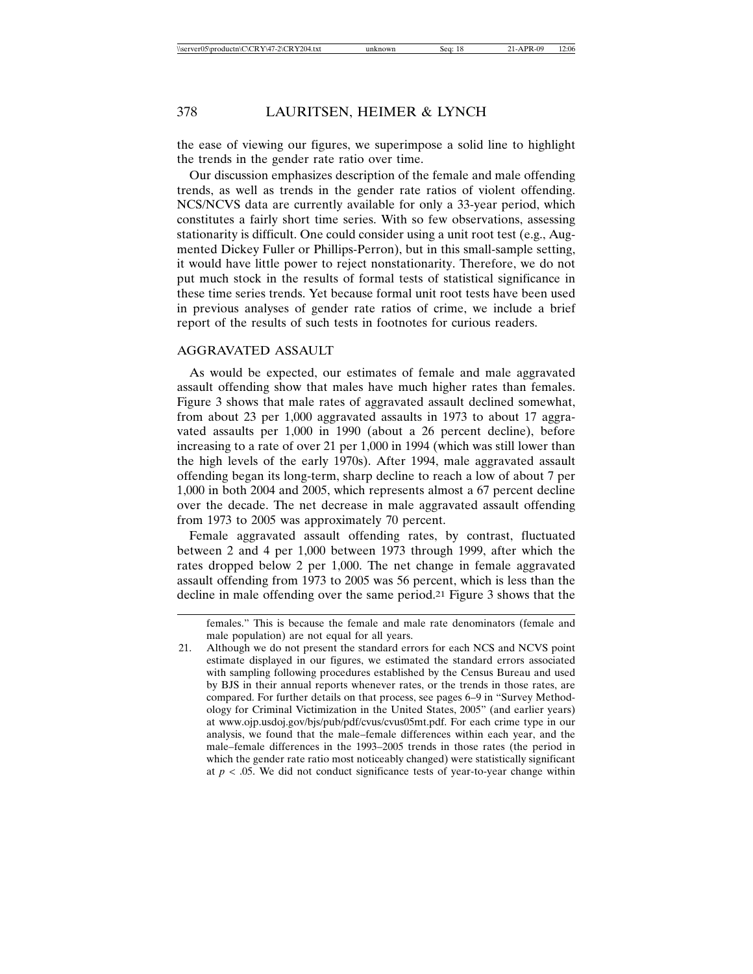the ease of viewing our figures, we superimpose a solid line to highlight the trends in the gender rate ratio over time.

Our discussion emphasizes description of the female and male offending trends, as well as trends in the gender rate ratios of violent offending. NCS/NCVS data are currently available for only a 33-year period, which constitutes a fairly short time series. With so few observations, assessing stationarity is difficult. One could consider using a unit root test (e.g., Augmented Dickey Fuller or Phillips-Perron), but in this small-sample setting, it would have little power to reject nonstationarity. Therefore, we do not put much stock in the results of formal tests of statistical significance in these time series trends. Yet because formal unit root tests have been used in previous analyses of gender rate ratios of crime, we include a brief report of the results of such tests in footnotes for curious readers.

#### AGGRAVATED ASSAULT

As would be expected, our estimates of female and male aggravated assault offending show that males have much higher rates than females. Figure 3 shows that male rates of aggravated assault declined somewhat, from about 23 per 1,000 aggravated assaults in 1973 to about 17 aggravated assaults per 1,000 in 1990 (about a 26 percent decline), before increasing to a rate of over 21 per 1,000 in 1994 (which was still lower than the high levels of the early 1970s). After 1994, male aggravated assault offending began its long-term, sharp decline to reach a low of about 7 per 1,000 in both 2004 and 2005, which represents almost a 67 percent decline over the decade. The net decrease in male aggravated assault offending from 1973 to 2005 was approximately 70 percent.

Female aggravated assault offending rates, by contrast, fluctuated between 2 and 4 per 1,000 between 1973 through 1999, after which the rates dropped below 2 per 1,000. The net change in female aggravated assault offending from 1973 to 2005 was 56 percent, which is less than the decline in male offending over the same period.21 Figure 3 shows that the

females." This is because the female and male rate denominators (female and male population) are not equal for all years.

<sup>21.</sup> Although we do not present the standard errors for each NCS and NCVS point estimate displayed in our figures, we estimated the standard errors associated with sampling following procedures established by the Census Bureau and used by BJS in their annual reports whenever rates, or the trends in those rates, are compared. For further details on that process, see pages 6–9 in "Survey Methodology for Criminal Victimization in the United States, 2005" (and earlier years) at www.ojp.usdoj.gov/bjs/pub/pdf/cvus/cvus05mt.pdf. For each crime type in our analysis, we found that the male–female differences within each year, and the male–female differences in the 1993–2005 trends in those rates (the period in which the gender rate ratio most noticeably changed) were statistically significant at  $p < .05$ . We did not conduct significance tests of year-to-year change within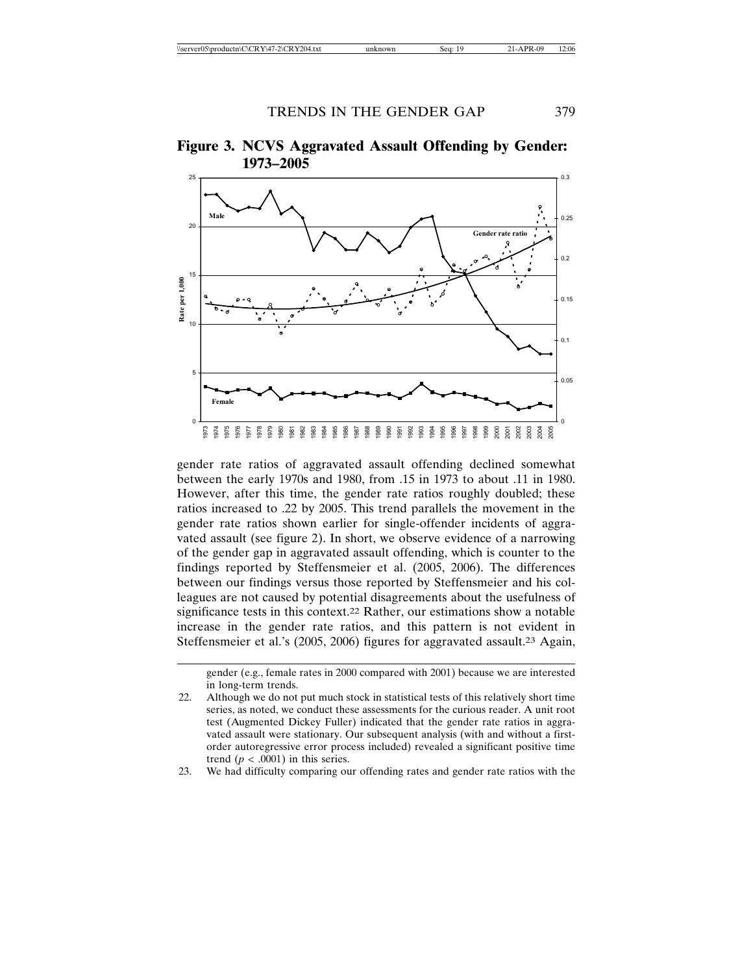

## **Figure 3. NCVS Aggravated Assault Offending by Gender: 1973–2005**

gender rate ratios of aggravated assault offending declined somewhat between the early 1970s and 1980, from .15 in 1973 to about .11 in 1980. However, after this time, the gender rate ratios roughly doubled; these ratios increased to .22 by 2005. This trend parallels the movement in the gender rate ratios shown earlier for single-offender incidents of aggravated assault (see figure 2). In short, we observe evidence of a narrowing of the gender gap in aggravated assault offending, which is counter to the findings reported by Steffensmeier et al. (2005, 2006). The differences between our findings versus those reported by Steffensmeier and his colleagues are not caused by potential disagreements about the usefulness of significance tests in this context.22 Rather, our estimations show a notable increase in the gender rate ratios, and this pattern is not evident in Steffensmeier et al.'s (2005, 2006) figures for aggravated assault.23 Again,

23. We had difficulty comparing our offending rates and gender rate ratios with the

gender (e.g., female rates in 2000 compared with 2001) because we are interested in long-term trends.

<sup>22.</sup> Although we do not put much stock in statistical tests of this relatively short time series, as noted, we conduct these assessments for the curious reader. A unit root test (Augmented Dickey Fuller) indicated that the gender rate ratios in aggravated assault were stationary. Our subsequent analysis (with and without a firstorder autoregressive error process included) revealed a significant positive time trend  $(p < .0001)$  in this series.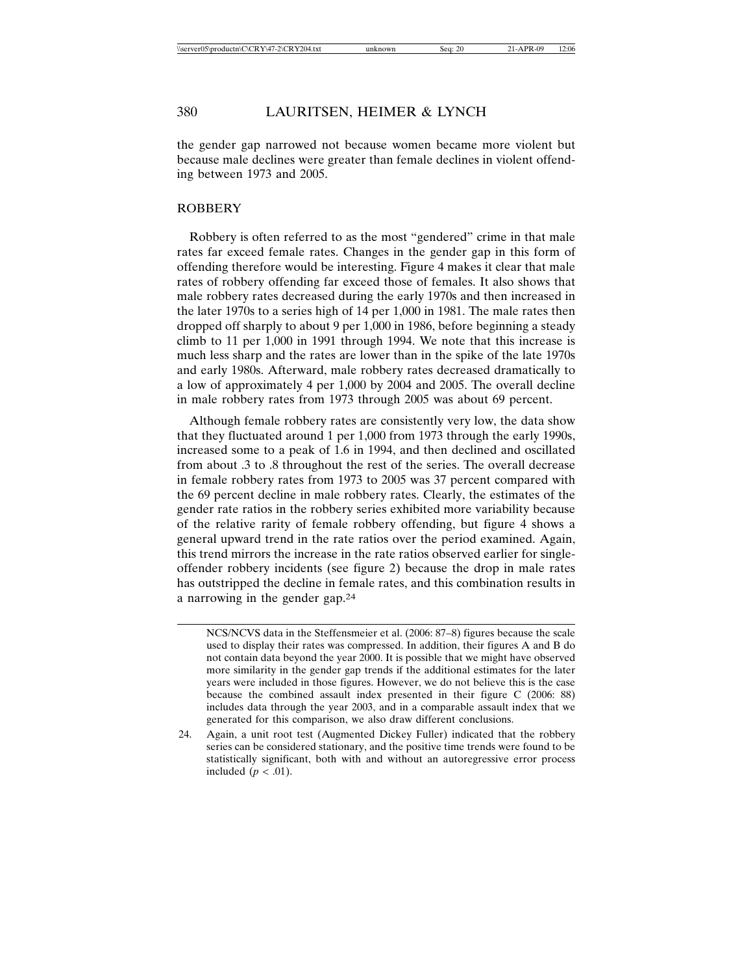the gender gap narrowed not because women became more violent but because male declines were greater than female declines in violent offending between 1973 and 2005.

#### ROBBERY

Robbery is often referred to as the most "gendered" crime in that male rates far exceed female rates. Changes in the gender gap in this form of offending therefore would be interesting. Figure 4 makes it clear that male rates of robbery offending far exceed those of females. It also shows that male robbery rates decreased during the early 1970s and then increased in the later 1970s to a series high of 14 per 1,000 in 1981. The male rates then dropped off sharply to about 9 per 1,000 in 1986, before beginning a steady climb to 11 per 1,000 in 1991 through 1994. We note that this increase is much less sharp and the rates are lower than in the spike of the late 1970s and early 1980s. Afterward, male robbery rates decreased dramatically to a low of approximately 4 per 1,000 by 2004 and 2005. The overall decline in male robbery rates from 1973 through 2005 was about 69 percent.

Although female robbery rates are consistently very low, the data show that they fluctuated around 1 per 1,000 from 1973 through the early 1990s, increased some to a peak of 1.6 in 1994, and then declined and oscillated from about .3 to .8 throughout the rest of the series. The overall decrease in female robbery rates from 1973 to 2005 was 37 percent compared with the 69 percent decline in male robbery rates. Clearly, the estimates of the gender rate ratios in the robbery series exhibited more variability because of the relative rarity of female robbery offending, but figure 4 shows a general upward trend in the rate ratios over the period examined. Again, this trend mirrors the increase in the rate ratios observed earlier for singleoffender robbery incidents (see figure 2) because the drop in male rates has outstripped the decline in female rates, and this combination results in a narrowing in the gender gap.24

NCS/NCVS data in the Steffensmeier et al. (2006: 87–8) figures because the scale used to display their rates was compressed. In addition, their figures A and B do not contain data beyond the year 2000. It is possible that we might have observed more similarity in the gender gap trends if the additional estimates for the later years were included in those figures. However, we do not believe this is the case because the combined assault index presented in their figure C (2006: 88) includes data through the year 2003, and in a comparable assault index that we generated for this comparison, we also draw different conclusions.

<sup>24.</sup> Again, a unit root test (Augmented Dickey Fuller) indicated that the robbery series can be considered stationary, and the positive time trends were found to be statistically significant, both with and without an autoregressive error process included  $(p < .01)$ .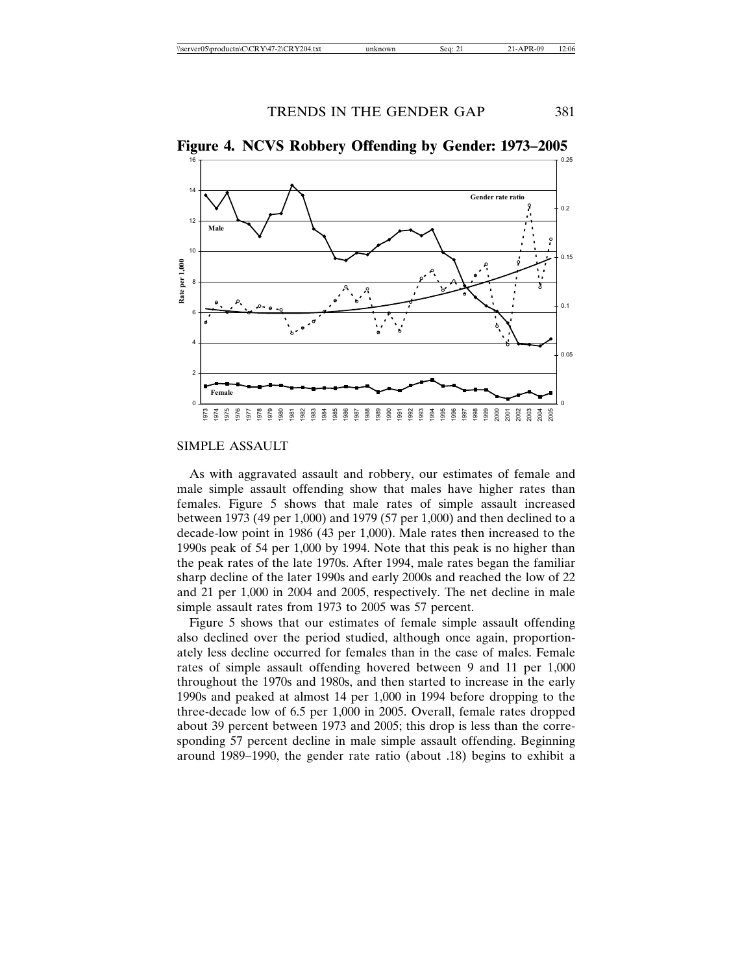

**Figure 4. NCVS Robbery Offending by Gender: 1973–2005**

#### SIMPLE ASSAULT

As with aggravated assault and robbery, our estimates of female and male simple assault offending show that males have higher rates than females. Figure 5 shows that male rates of simple assault increased between 1973 (49 per 1,000) and 1979 (57 per 1,000) and then declined to a decade-low point in 1986 (43 per 1,000). Male rates then increased to the 1990s peak of 54 per 1,000 by 1994. Note that this peak is no higher than the peak rates of the late 1970s. After 1994, male rates began the familiar sharp decline of the later 1990s and early 2000s and reached the low of 22 and 21 per 1,000 in 2004 and 2005, respectively. The net decline in male simple assault rates from 1973 to 2005 was 57 percent.

Figure 5 shows that our estimates of female simple assault offending also declined over the period studied, although once again, proportionately less decline occurred for females than in the case of males. Female rates of simple assault offending hovered between 9 and 11 per 1,000 throughout the 1970s and 1980s, and then started to increase in the early 1990s and peaked at almost 14 per 1,000 in 1994 before dropping to the three-decade low of 6.5 per 1,000 in 2005. Overall, female rates dropped about 39 percent between 1973 and 2005; this drop is less than the corresponding 57 percent decline in male simple assault offending. Beginning around 1989–1990, the gender rate ratio (about .18) begins to exhibit a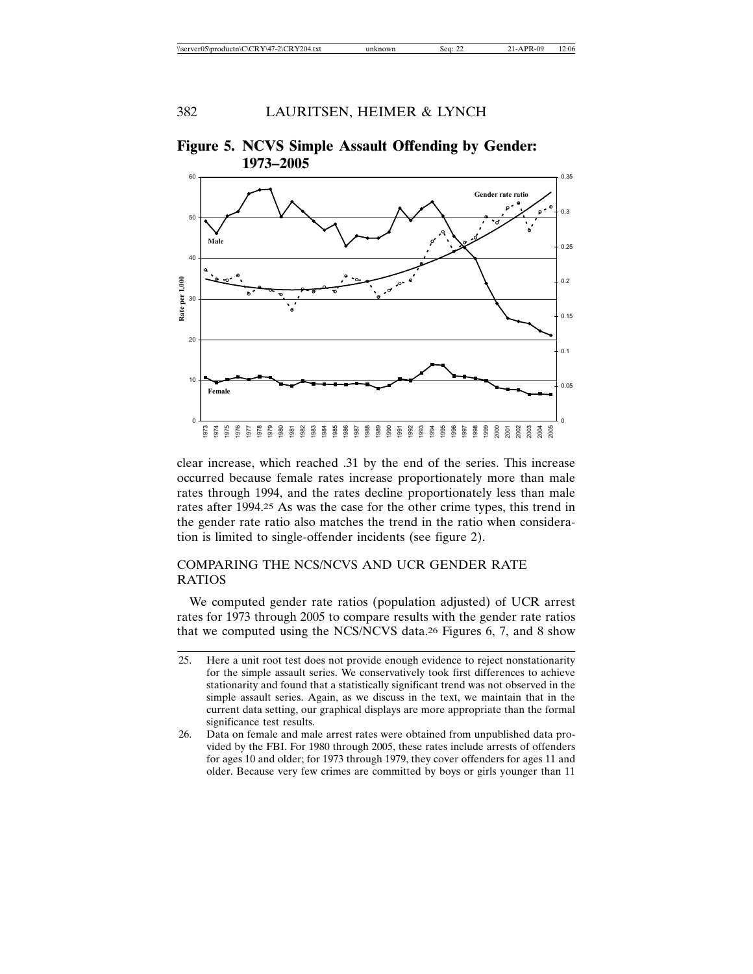

**Figure 5. NCVS Simple Assault Offending by Gender: 1973–2005**

clear increase, which reached .31 by the end of the series. This increase occurred because female rates increase proportionately more than male rates through 1994, and the rates decline proportionately less than male rates after 1994.25 As was the case for the other crime types, this trend in the gender rate ratio also matches the trend in the ratio when consideration is limited to single-offender incidents (see figure 2).

## COMPARING THE NCS/NCVS AND UCR GENDER RATE RATIOS

We computed gender rate ratios (population adjusted) of UCR arrest rates for 1973 through 2005 to compare results with the gender rate ratios that we computed using the NCS/NCVS data.26 Figures 6, 7, and 8 show

<sup>25.</sup> Here a unit root test does not provide enough evidence to reject nonstationarity for the simple assault series. We conservatively took first differences to achieve stationarity and found that a statistically significant trend was not observed in the simple assault series. Again, as we discuss in the text, we maintain that in the current data setting, our graphical displays are more appropriate than the formal significance test results.

<sup>26.</sup> Data on female and male arrest rates were obtained from unpublished data provided by the FBI. For 1980 through 2005, these rates include arrests of offenders for ages 10 and older; for 1973 through 1979, they cover offenders for ages 11 and older. Because very few crimes are committed by boys or girls younger than 11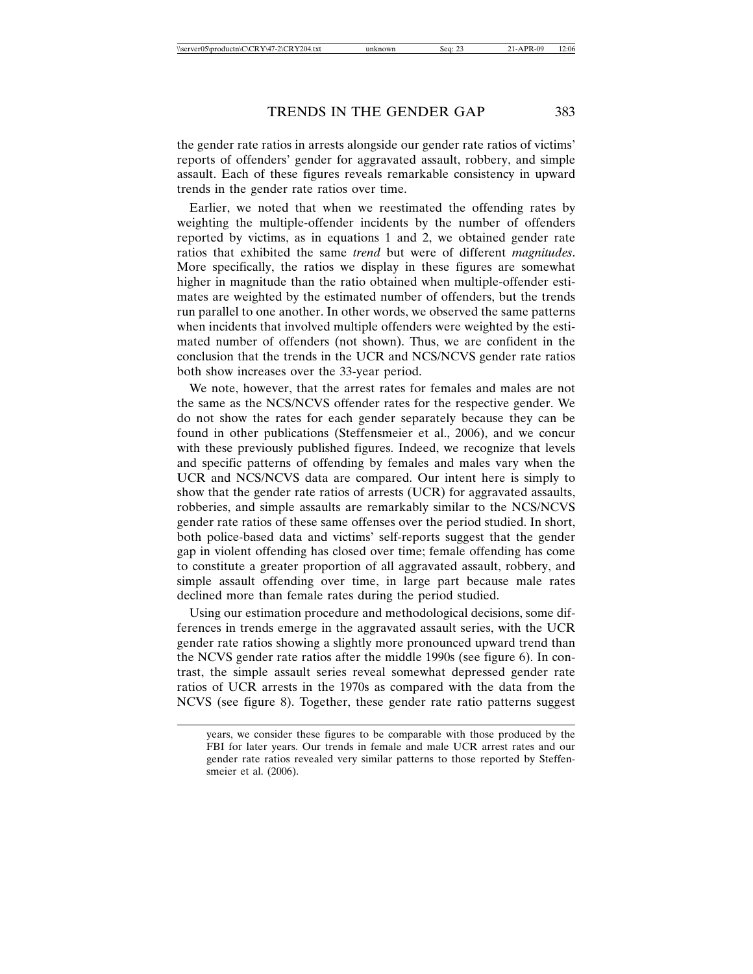the gender rate ratios in arrests alongside our gender rate ratios of victims' reports of offenders' gender for aggravated assault, robbery, and simple assault. Each of these figures reveals remarkable consistency in upward trends in the gender rate ratios over time.

Earlier, we noted that when we reestimated the offending rates by weighting the multiple-offender incidents by the number of offenders reported by victims, as in equations 1 and 2, we obtained gender rate ratios that exhibited the same *trend* but were of different *magnitudes*. More specifically, the ratios we display in these figures are somewhat higher in magnitude than the ratio obtained when multiple-offender estimates are weighted by the estimated number of offenders, but the trends run parallel to one another. In other words, we observed the same patterns when incidents that involved multiple offenders were weighted by the estimated number of offenders (not shown). Thus, we are confident in the conclusion that the trends in the UCR and NCS/NCVS gender rate ratios both show increases over the 33-year period.

We note, however, that the arrest rates for females and males are not the same as the NCS/NCVS offender rates for the respective gender. We do not show the rates for each gender separately because they can be found in other publications (Steffensmeier et al., 2006), and we concur with these previously published figures. Indeed, we recognize that levels and specific patterns of offending by females and males vary when the UCR and NCS/NCVS data are compared. Our intent here is simply to show that the gender rate ratios of arrests (UCR) for aggravated assaults, robberies, and simple assaults are remarkably similar to the NCS/NCVS gender rate ratios of these same offenses over the period studied. In short, both police-based data and victims' self-reports suggest that the gender gap in violent offending has closed over time; female offending has come to constitute a greater proportion of all aggravated assault, robbery, and simple assault offending over time, in large part because male rates declined more than female rates during the period studied.

Using our estimation procedure and methodological decisions, some differences in trends emerge in the aggravated assault series, with the UCR gender rate ratios showing a slightly more pronounced upward trend than the NCVS gender rate ratios after the middle 1990s (see figure 6). In contrast, the simple assault series reveal somewhat depressed gender rate ratios of UCR arrests in the 1970s as compared with the data from the NCVS (see figure 8). Together, these gender rate ratio patterns suggest

years, we consider these figures to be comparable with those produced by the FBI for later years. Our trends in female and male UCR arrest rates and our gender rate ratios revealed very similar patterns to those reported by Steffensmeier et al. (2006).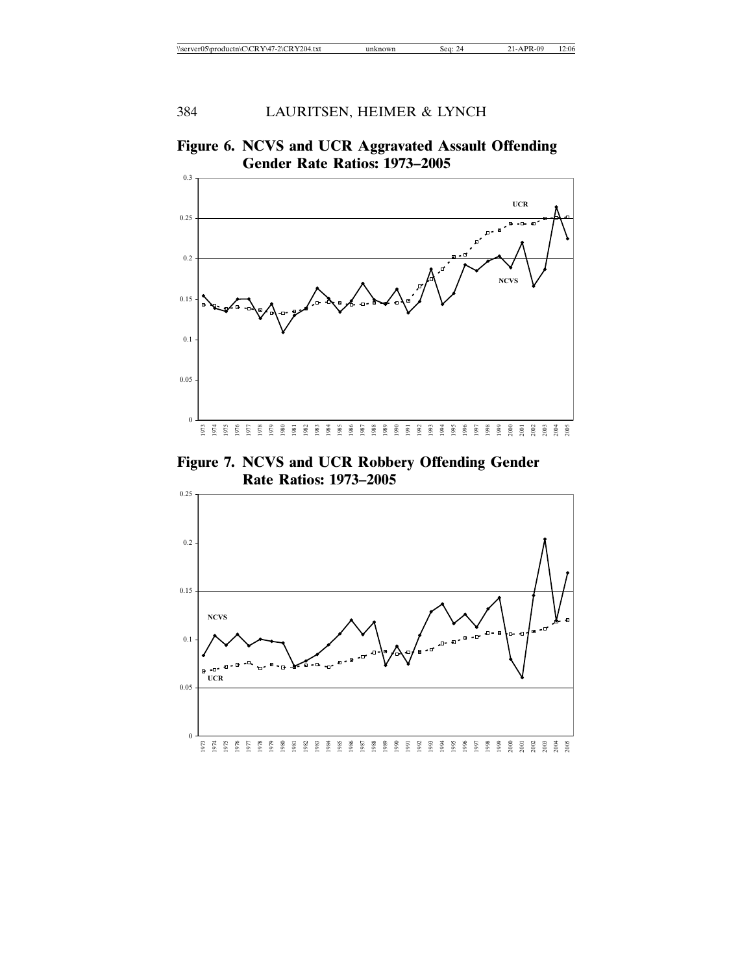

## **Figure 6. NCVS and UCR Aggravated Assault Offending Gender Rate Ratios: 1973–2005**

**Figure 7. NCVS and UCR Robbery Offending Gender Rate Ratios: 1973–2005**

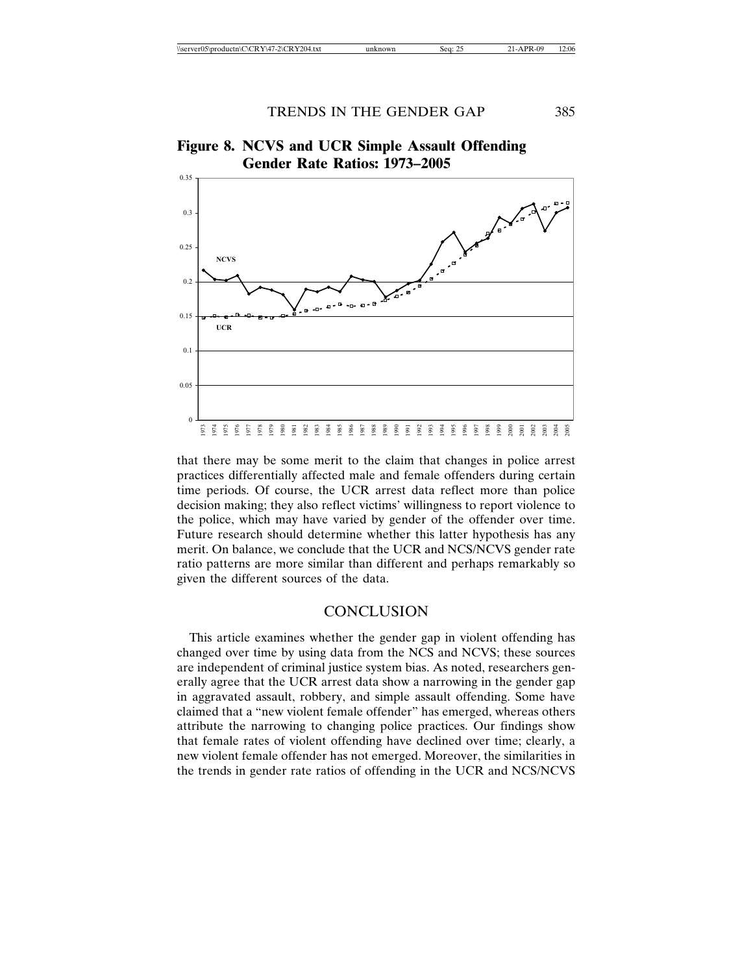

## **Figure 8. NCVS and UCR Simple Assault Offending Gender Rate Ratios: 1973–2005**

that there may be some merit to the claim that changes in police arrest practices differentially affected male and female offenders during certain time periods. Of course, the UCR arrest data reflect more than police decision making; they also reflect victims' willingness to report violence to the police, which may have varied by gender of the offender over time. Future research should determine whether this latter hypothesis has any merit. On balance, we conclude that the UCR and NCS/NCVS gender rate ratio patterns are more similar than different and perhaps remarkably so given the different sources of the data.

## **CONCLUSION**

This article examines whether the gender gap in violent offending has changed over time by using data from the NCS and NCVS; these sources are independent of criminal justice system bias. As noted, researchers generally agree that the UCR arrest data show a narrowing in the gender gap in aggravated assault, robbery, and simple assault offending. Some have claimed that a "new violent female offender" has emerged, whereas others attribute the narrowing to changing police practices. Our findings show that female rates of violent offending have declined over time; clearly, a new violent female offender has not emerged. Moreover, the similarities in the trends in gender rate ratios of offending in the UCR and NCS/NCVS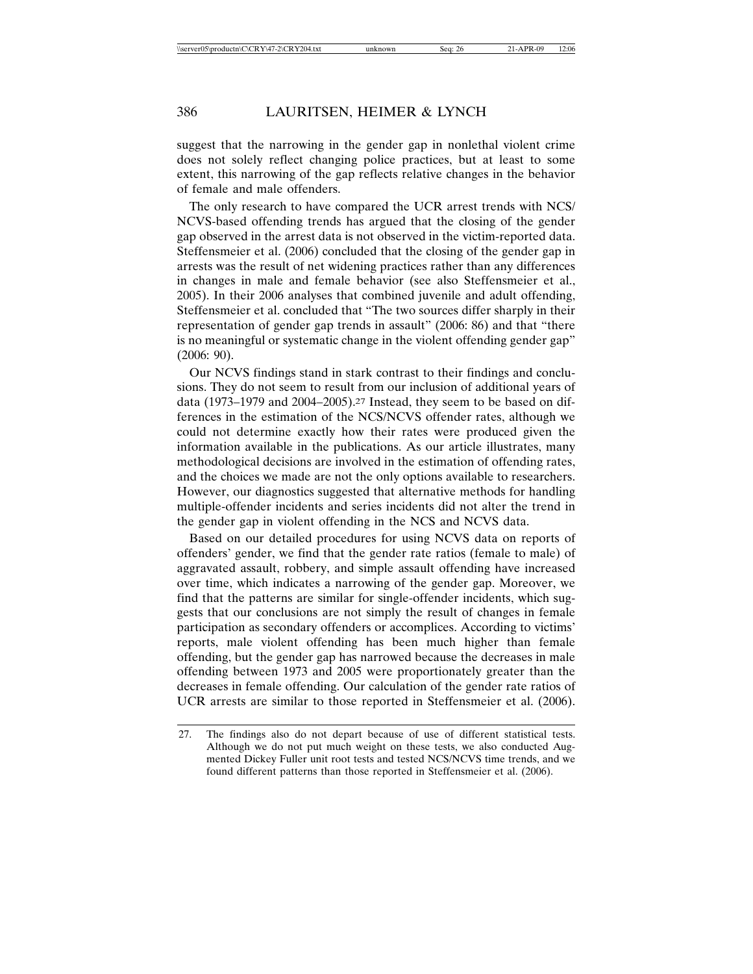suggest that the narrowing in the gender gap in nonlethal violent crime does not solely reflect changing police practices, but at least to some extent, this narrowing of the gap reflects relative changes in the behavior of female and male offenders.

The only research to have compared the UCR arrest trends with NCS/ NCVS-based offending trends has argued that the closing of the gender gap observed in the arrest data is not observed in the victim-reported data. Steffensmeier et al. (2006) concluded that the closing of the gender gap in arrests was the result of net widening practices rather than any differences in changes in male and female behavior (see also Steffensmeier et al., 2005). In their 2006 analyses that combined juvenile and adult offending, Steffensmeier et al. concluded that "The two sources differ sharply in their representation of gender gap trends in assault" (2006: 86) and that "there is no meaningful or systematic change in the violent offending gender gap" (2006: 90).

Our NCVS findings stand in stark contrast to their findings and conclusions. They do not seem to result from our inclusion of additional years of data (1973–1979 and 2004–2005).27 Instead, they seem to be based on differences in the estimation of the NCS/NCVS offender rates, although we could not determine exactly how their rates were produced given the information available in the publications. As our article illustrates, many methodological decisions are involved in the estimation of offending rates, and the choices we made are not the only options available to researchers. However, our diagnostics suggested that alternative methods for handling multiple-offender incidents and series incidents did not alter the trend in the gender gap in violent offending in the NCS and NCVS data.

Based on our detailed procedures for using NCVS data on reports of offenders' gender, we find that the gender rate ratios (female to male) of aggravated assault, robbery, and simple assault offending have increased over time, which indicates a narrowing of the gender gap. Moreover, we find that the patterns are similar for single-offender incidents, which suggests that our conclusions are not simply the result of changes in female participation as secondary offenders or accomplices. According to victims' reports, male violent offending has been much higher than female offending, but the gender gap has narrowed because the decreases in male offending between 1973 and 2005 were proportionately greater than the decreases in female offending. Our calculation of the gender rate ratios of UCR arrests are similar to those reported in Steffensmeier et al. (2006).

<sup>27.</sup> The findings also do not depart because of use of different statistical tests. Although we do not put much weight on these tests, we also conducted Augmented Dickey Fuller unit root tests and tested NCS/NCVS time trends, and we found different patterns than those reported in Steffensmeier et al. (2006).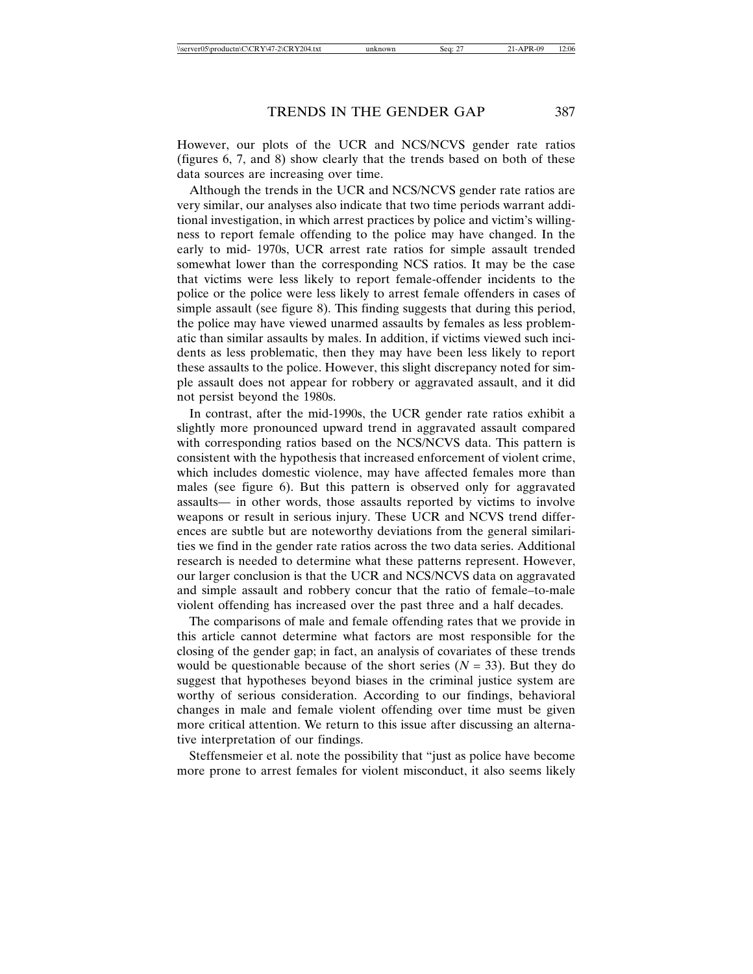However, our plots of the UCR and NCS/NCVS gender rate ratios (figures 6, 7, and 8) show clearly that the trends based on both of these data sources are increasing over time.

Although the trends in the UCR and NCS/NCVS gender rate ratios are very similar, our analyses also indicate that two time periods warrant additional investigation, in which arrest practices by police and victim's willingness to report female offending to the police may have changed. In the early to mid- 1970s, UCR arrest rate ratios for simple assault trended somewhat lower than the corresponding NCS ratios. It may be the case that victims were less likely to report female-offender incidents to the police or the police were less likely to arrest female offenders in cases of simple assault (see figure 8). This finding suggests that during this period, the police may have viewed unarmed assaults by females as less problematic than similar assaults by males. In addition, if victims viewed such incidents as less problematic, then they may have been less likely to report these assaults to the police. However, this slight discrepancy noted for simple assault does not appear for robbery or aggravated assault, and it did not persist beyond the 1980s.

In contrast, after the mid-1990s, the UCR gender rate ratios exhibit a slightly more pronounced upward trend in aggravated assault compared with corresponding ratios based on the NCS/NCVS data. This pattern is consistent with the hypothesis that increased enforcement of violent crime, which includes domestic violence, may have affected females more than males (see figure 6). But this pattern is observed only for aggravated assaults— in other words, those assaults reported by victims to involve weapons or result in serious injury. These UCR and NCVS trend differences are subtle but are noteworthy deviations from the general similarities we find in the gender rate ratios across the two data series. Additional research is needed to determine what these patterns represent. However, our larger conclusion is that the UCR and NCS/NCVS data on aggravated and simple assault and robbery concur that the ratio of female–to-male violent offending has increased over the past three and a half decades.

The comparisons of male and female offending rates that we provide in this article cannot determine what factors are most responsible for the closing of the gender gap; in fact, an analysis of covariates of these trends would be questionable because of the short series  $(N = 33)$ . But they do suggest that hypotheses beyond biases in the criminal justice system are worthy of serious consideration. According to our findings, behavioral changes in male and female violent offending over time must be given more critical attention. We return to this issue after discussing an alternative interpretation of our findings.

Steffensmeier et al. note the possibility that "just as police have become more prone to arrest females for violent misconduct, it also seems likely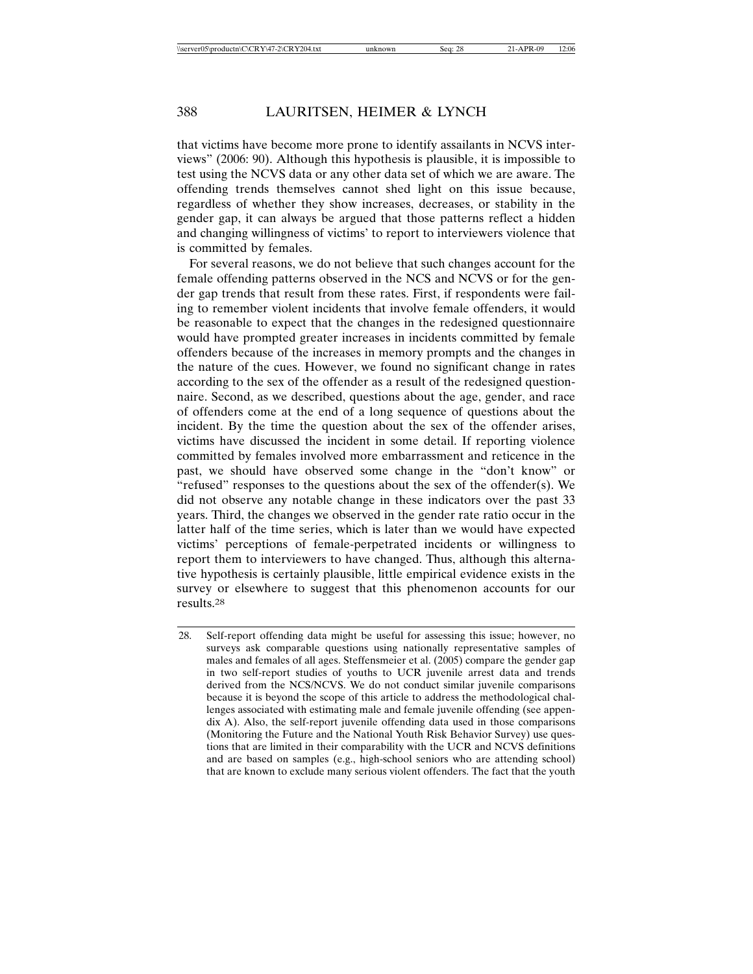that victims have become more prone to identify assailants in NCVS interviews" (2006: 90). Although this hypothesis is plausible, it is impossible to test using the NCVS data or any other data set of which we are aware. The offending trends themselves cannot shed light on this issue because, regardless of whether they show increases, decreases, or stability in the gender gap, it can always be argued that those patterns reflect a hidden and changing willingness of victims' to report to interviewers violence that is committed by females.

For several reasons, we do not believe that such changes account for the female offending patterns observed in the NCS and NCVS or for the gender gap trends that result from these rates. First, if respondents were failing to remember violent incidents that involve female offenders, it would be reasonable to expect that the changes in the redesigned questionnaire would have prompted greater increases in incidents committed by female offenders because of the increases in memory prompts and the changes in the nature of the cues. However, we found no significant change in rates according to the sex of the offender as a result of the redesigned questionnaire. Second, as we described, questions about the age, gender, and race of offenders come at the end of a long sequence of questions about the incident. By the time the question about the sex of the offender arises, victims have discussed the incident in some detail. If reporting violence committed by females involved more embarrassment and reticence in the past, we should have observed some change in the "don't know" or "refused" responses to the questions about the sex of the offender(s). We did not observe any notable change in these indicators over the past 33 years. Third, the changes we observed in the gender rate ratio occur in the latter half of the time series, which is later than we would have expected victims' perceptions of female-perpetrated incidents or willingness to report them to interviewers to have changed. Thus, although this alternative hypothesis is certainly plausible, little empirical evidence exists in the survey or elsewhere to suggest that this phenomenon accounts for our results.28

<sup>28.</sup> Self-report offending data might be useful for assessing this issue; however, no surveys ask comparable questions using nationally representative samples of males and females of all ages. Steffensmeier et al. (2005) compare the gender gap in two self-report studies of youths to UCR juvenile arrest data and trends derived from the NCS/NCVS. We do not conduct similar juvenile comparisons because it is beyond the scope of this article to address the methodological challenges associated with estimating male and female juvenile offending (see appendix A). Also, the self-report juvenile offending data used in those comparisons (Monitoring the Future and the National Youth Risk Behavior Survey) use questions that are limited in their comparability with the UCR and NCVS definitions and are based on samples (e.g., high-school seniors who are attending school) that are known to exclude many serious violent offenders. The fact that the youth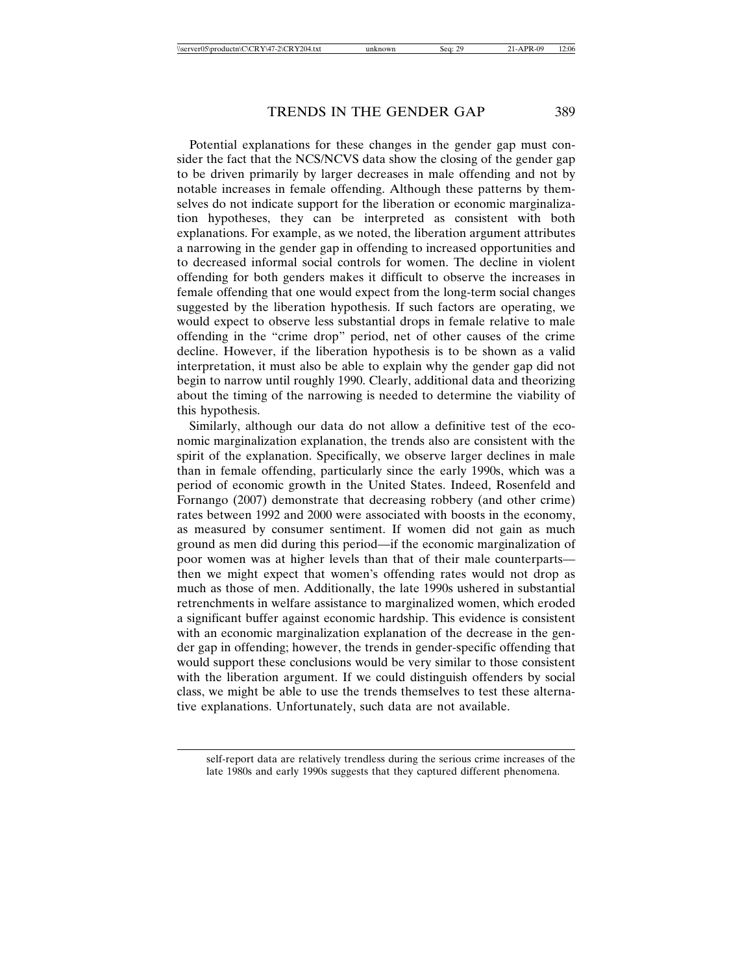Potential explanations for these changes in the gender gap must consider the fact that the NCS/NCVS data show the closing of the gender gap to be driven primarily by larger decreases in male offending and not by notable increases in female offending. Although these patterns by themselves do not indicate support for the liberation or economic marginalization hypotheses, they can be interpreted as consistent with both explanations. For example, as we noted, the liberation argument attributes a narrowing in the gender gap in offending to increased opportunities and to decreased informal social controls for women. The decline in violent offending for both genders makes it difficult to observe the increases in female offending that one would expect from the long-term social changes suggested by the liberation hypothesis. If such factors are operating, we would expect to observe less substantial drops in female relative to male offending in the "crime drop" period, net of other causes of the crime decline. However, if the liberation hypothesis is to be shown as a valid interpretation, it must also be able to explain why the gender gap did not begin to narrow until roughly 1990. Clearly, additional data and theorizing about the timing of the narrowing is needed to determine the viability of this hypothesis.

Similarly, although our data do not allow a definitive test of the economic marginalization explanation, the trends also are consistent with the spirit of the explanation. Specifically, we observe larger declines in male than in female offending, particularly since the early 1990s, which was a period of economic growth in the United States. Indeed, Rosenfeld and Fornango (2007) demonstrate that decreasing robbery (and other crime) rates between 1992 and 2000 were associated with boosts in the economy, as measured by consumer sentiment. If women did not gain as much ground as men did during this period—if the economic marginalization of poor women was at higher levels than that of their male counterparts then we might expect that women's offending rates would not drop as much as those of men. Additionally, the late 1990s ushered in substantial retrenchments in welfare assistance to marginalized women, which eroded a significant buffer against economic hardship. This evidence is consistent with an economic marginalization explanation of the decrease in the gender gap in offending; however, the trends in gender-specific offending that would support these conclusions would be very similar to those consistent with the liberation argument. If we could distinguish offenders by social class, we might be able to use the trends themselves to test these alternative explanations. Unfortunately, such data are not available.

self-report data are relatively trendless during the serious crime increases of the late 1980s and early 1990s suggests that they captured different phenomena.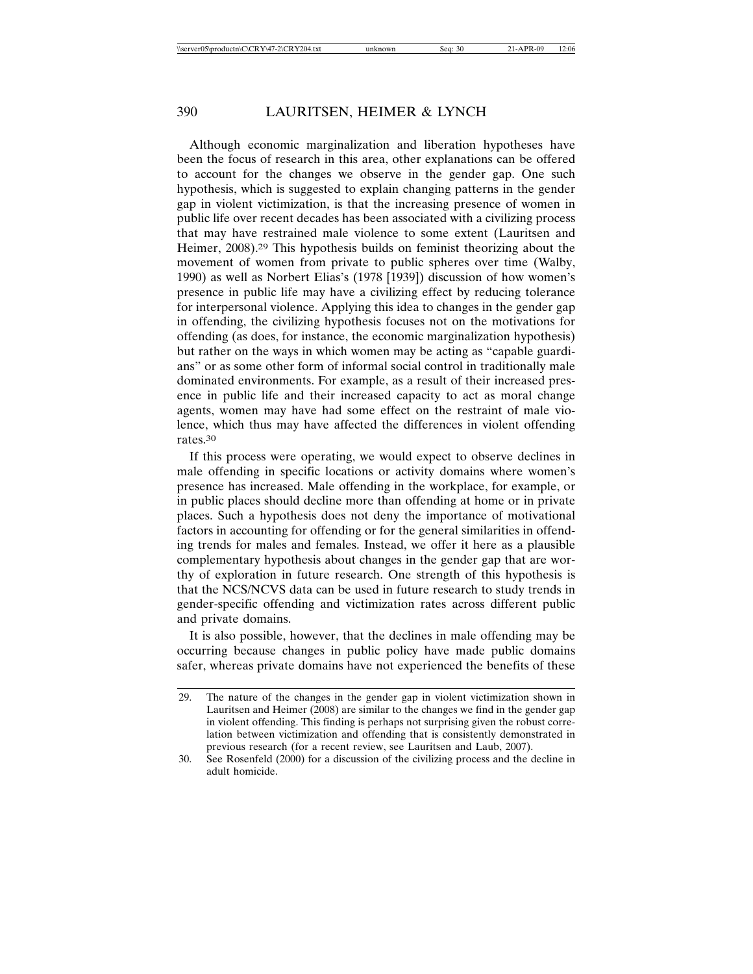Although economic marginalization and liberation hypotheses have been the focus of research in this area, other explanations can be offered to account for the changes we observe in the gender gap. One such hypothesis, which is suggested to explain changing patterns in the gender gap in violent victimization, is that the increasing presence of women in public life over recent decades has been associated with a civilizing process that may have restrained male violence to some extent (Lauritsen and Heimer, 2008).29 This hypothesis builds on feminist theorizing about the movement of women from private to public spheres over time (Walby, 1990) as well as Norbert Elias's (1978 [1939]) discussion of how women's presence in public life may have a civilizing effect by reducing tolerance for interpersonal violence. Applying this idea to changes in the gender gap in offending, the civilizing hypothesis focuses not on the motivations for offending (as does, for instance, the economic marginalization hypothesis) but rather on the ways in which women may be acting as "capable guardians" or as some other form of informal social control in traditionally male dominated environments. For example, as a result of their increased presence in public life and their increased capacity to act as moral change agents, women may have had some effect on the restraint of male violence, which thus may have affected the differences in violent offending rates.30

If this process were operating, we would expect to observe declines in male offending in specific locations or activity domains where women's presence has increased. Male offending in the workplace, for example, or in public places should decline more than offending at home or in private places. Such a hypothesis does not deny the importance of motivational factors in accounting for offending or for the general similarities in offending trends for males and females. Instead, we offer it here as a plausible complementary hypothesis about changes in the gender gap that are worthy of exploration in future research. One strength of this hypothesis is that the NCS/NCVS data can be used in future research to study trends in gender-specific offending and victimization rates across different public and private domains.

It is also possible, however, that the declines in male offending may be occurring because changes in public policy have made public domains safer, whereas private domains have not experienced the benefits of these

<sup>29.</sup> The nature of the changes in the gender gap in violent victimization shown in Lauritsen and Heimer (2008) are similar to the changes we find in the gender gap in violent offending. This finding is perhaps not surprising given the robust correlation between victimization and offending that is consistently demonstrated in previous research (for a recent review, see Lauritsen and Laub, 2007).

<sup>30.</sup> See Rosenfeld (2000) for a discussion of the civilizing process and the decline in adult homicide.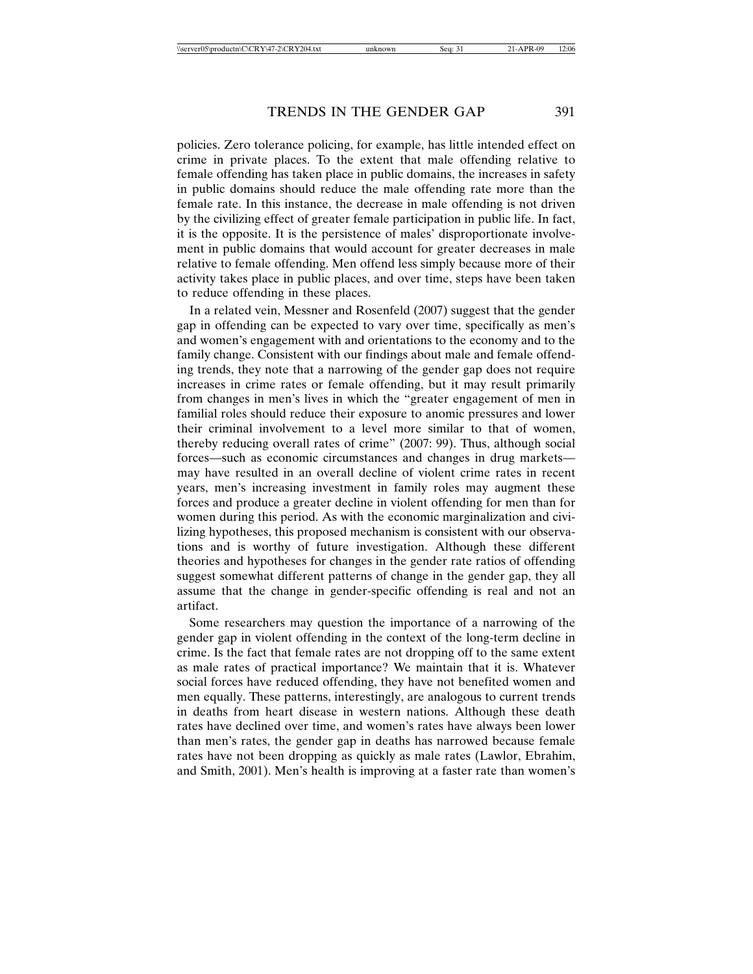policies. Zero tolerance policing, for example, has little intended effect on crime in private places. To the extent that male offending relative to female offending has taken place in public domains, the increases in safety in public domains should reduce the male offending rate more than the female rate. In this instance, the decrease in male offending is not driven by the civilizing effect of greater female participation in public life. In fact, it is the opposite. It is the persistence of males' disproportionate involvement in public domains that would account for greater decreases in male relative to female offending. Men offend less simply because more of their activity takes place in public places, and over time, steps have been taken to reduce offending in these places.

In a related vein, Messner and Rosenfeld (2007) suggest that the gender gap in offending can be expected to vary over time, specifically as men's and women's engagement with and orientations to the economy and to the family change. Consistent with our findings about male and female offending trends, they note that a narrowing of the gender gap does not require increases in crime rates or female offending, but it may result primarily from changes in men's lives in which the "greater engagement of men in familial roles should reduce their exposure to anomic pressures and lower their criminal involvement to a level more similar to that of women, thereby reducing overall rates of crime" (2007: 99). Thus, although social forces—such as economic circumstances and changes in drug markets may have resulted in an overall decline of violent crime rates in recent years, men's increasing investment in family roles may augment these forces and produce a greater decline in violent offending for men than for women during this period. As with the economic marginalization and civilizing hypotheses, this proposed mechanism is consistent with our observations and is worthy of future investigation. Although these different theories and hypotheses for changes in the gender rate ratios of offending suggest somewhat different patterns of change in the gender gap, they all assume that the change in gender-specific offending is real and not an artifact.

Some researchers may question the importance of a narrowing of the gender gap in violent offending in the context of the long-term decline in crime. Is the fact that female rates are not dropping off to the same extent as male rates of practical importance? We maintain that it is. Whatever social forces have reduced offending, they have not benefited women and men equally. These patterns, interestingly, are analogous to current trends in deaths from heart disease in western nations. Although these death rates have declined over time, and women's rates have always been lower than men's rates, the gender gap in deaths has narrowed because female rates have not been dropping as quickly as male rates (Lawlor, Ebrahim, and Smith, 2001). Men's health is improving at a faster rate than women's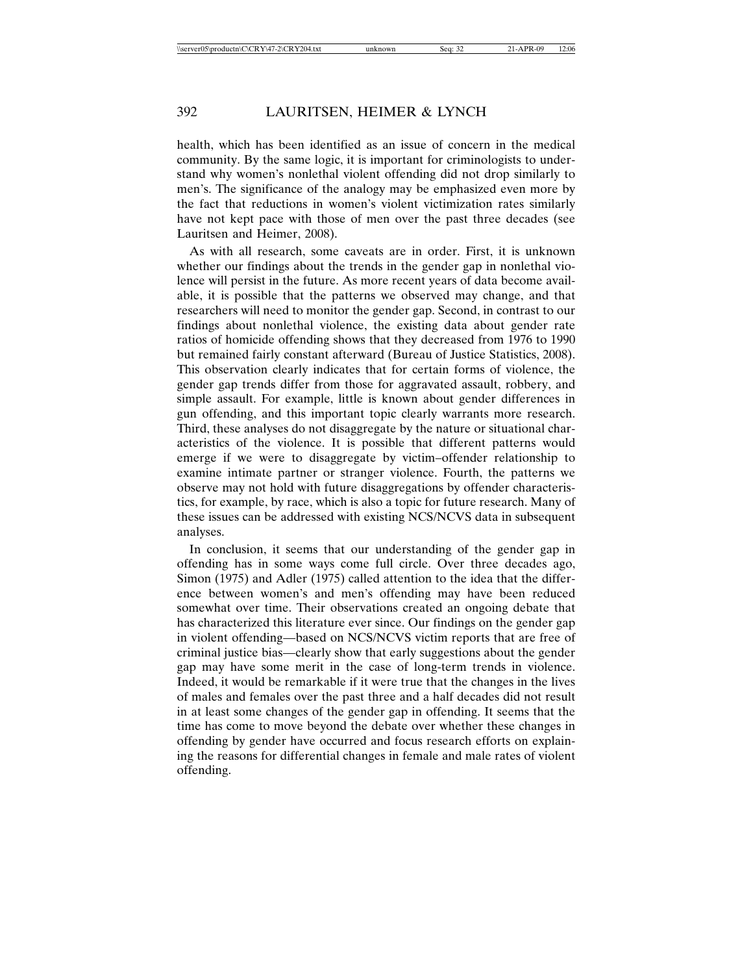health, which has been identified as an issue of concern in the medical community. By the same logic, it is important for criminologists to understand why women's nonlethal violent offending did not drop similarly to men's. The significance of the analogy may be emphasized even more by the fact that reductions in women's violent victimization rates similarly have not kept pace with those of men over the past three decades (see Lauritsen and Heimer, 2008).

As with all research, some caveats are in order. First, it is unknown whether our findings about the trends in the gender gap in nonlethal violence will persist in the future. As more recent years of data become available, it is possible that the patterns we observed may change, and that researchers will need to monitor the gender gap. Second, in contrast to our findings about nonlethal violence, the existing data about gender rate ratios of homicide offending shows that they decreased from 1976 to 1990 but remained fairly constant afterward (Bureau of Justice Statistics, 2008). This observation clearly indicates that for certain forms of violence, the gender gap trends differ from those for aggravated assault, robbery, and simple assault. For example, little is known about gender differences in gun offending, and this important topic clearly warrants more research. Third, these analyses do not disaggregate by the nature or situational characteristics of the violence. It is possible that different patterns would emerge if we were to disaggregate by victim–offender relationship to examine intimate partner or stranger violence. Fourth, the patterns we observe may not hold with future disaggregations by offender characteristics, for example, by race, which is also a topic for future research. Many of these issues can be addressed with existing NCS/NCVS data in subsequent analyses.

In conclusion, it seems that our understanding of the gender gap in offending has in some ways come full circle. Over three decades ago, Simon (1975) and Adler (1975) called attention to the idea that the difference between women's and men's offending may have been reduced somewhat over time. Their observations created an ongoing debate that has characterized this literature ever since. Our findings on the gender gap in violent offending—based on NCS/NCVS victim reports that are free of criminal justice bias—clearly show that early suggestions about the gender gap may have some merit in the case of long-term trends in violence. Indeed, it would be remarkable if it were true that the changes in the lives of males and females over the past three and a half decades did not result in at least some changes of the gender gap in offending. It seems that the time has come to move beyond the debate over whether these changes in offending by gender have occurred and focus research efforts on explaining the reasons for differential changes in female and male rates of violent offending.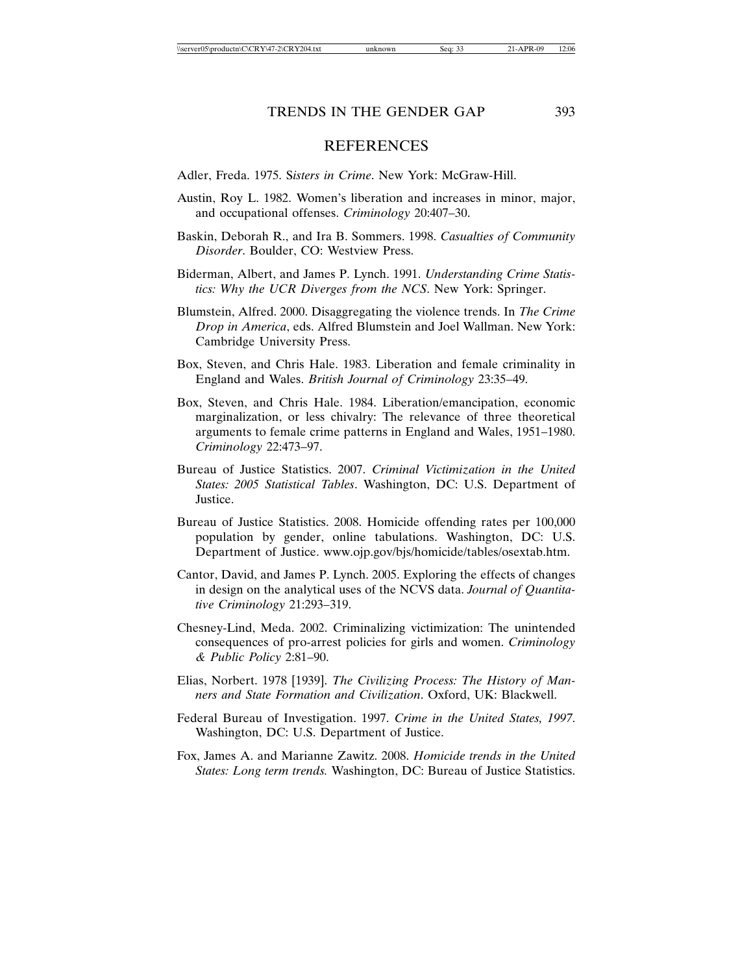#### **REFERENCES**

- Adler, Freda. 1975. S*isters in Crime*. New York: McGraw-Hill.
- Austin, Roy L. 1982. Women's liberation and increases in minor, major, and occupational offenses. *Criminology* 20:407–30.
- Baskin, Deborah R., and Ira B. Sommers. 1998. *Casualties of Community Disorder*. Boulder, CO: Westview Press.
- Biderman, Albert, and James P. Lynch. 1991. *Understanding Crime Statistics: Why the UCR Diverges from the NCS*. New York: Springer.
- Blumstein, Alfred. 2000. Disaggregating the violence trends. In *The Crime Drop in America*, eds. Alfred Blumstein and Joel Wallman. New York: Cambridge University Press.
- Box, Steven, and Chris Hale. 1983. Liberation and female criminality in England and Wales. *British Journal of Criminology* 23:35–49.
- Box, Steven, and Chris Hale. 1984. Liberation/emancipation, economic marginalization, or less chivalry: The relevance of three theoretical arguments to female crime patterns in England and Wales, 1951–1980. *Criminology* 22:473–97.
- Bureau of Justice Statistics. 2007. *Criminal Victimization in the United States: 2005 Statistical Tables*. Washington, DC: U.S. Department of Justice.
- Bureau of Justice Statistics. 2008. Homicide offending rates per 100,000 population by gender, online tabulations. Washington, DC: U.S. Department of Justice. www.ojp.gov/bjs/homicide/tables/osextab.htm.
- Cantor, David, and James P. Lynch. 2005. Exploring the effects of changes in design on the analytical uses of the NCVS data. *Journal of Quantitative Criminology* 21:293–319.
- Chesney-Lind, Meda. 2002. Criminalizing victimization: The unintended consequences of pro-arrest policies for girls and women. *Criminology & Public Policy* 2:81–90.
- Elias, Norbert. 1978 [1939]. *The Civilizing Process: The History of Manners and State Formation and Civilization*. Oxford, UK: Blackwell.
- Federal Bureau of Investigation. 1997. *Crime in the United States, 1997*. Washington, DC: U.S. Department of Justice.
- Fox, James A. and Marianne Zawitz. 2008. *Homicide trends in the United States: Long term trends.* Washington, DC: Bureau of Justice Statistics.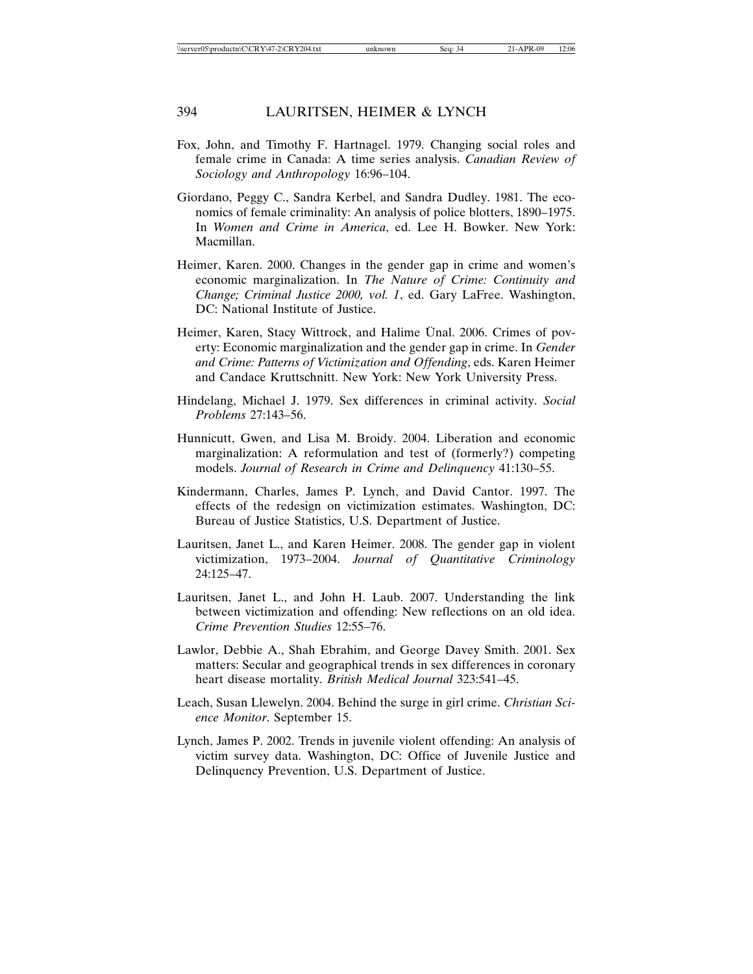- Fox, John, and Timothy F. Hartnagel. 1979. Changing social roles and female crime in Canada: A time series analysis. *Canadian Review of Sociology and Anthropology* 16:96–104.
- Giordano, Peggy C., Sandra Kerbel, and Sandra Dudley. 1981. The economics of female criminality: An analysis of police blotters, 1890–1975. In *Women and Crime in America*, ed. Lee H. Bowker. New York: Macmillan.
- Heimer, Karen. 2000. Changes in the gender gap in crime and women's economic marginalization. In *The Nature of Crime: Continuity and Change; Criminal Justice 2000, vol. 1*, ed. Gary LaFree. Washington, DC: National Institute of Justice.
- Heimer, Karen, Stacy Wittrock, and Halime Unal. 2006. Crimes of poverty: Economic marginalization and the gender gap in crime. In *Gender and Crime: Patterns of Victimization and Offending*, eds. Karen Heimer and Candace Kruttschnitt. New York: New York University Press.
- Hindelang, Michael J. 1979. Sex differences in criminal activity. *Social Problems* 27:143–56.
- Hunnicutt, Gwen, and Lisa M. Broidy. 2004. Liberation and economic marginalization: A reformulation and test of (formerly?) competing models. *Journal of Research in Crime and Delinquency* 41:130–55.
- Kindermann, Charles, James P. Lynch, and David Cantor. 1997. The effects of the redesign on victimization estimates. Washington, DC: Bureau of Justice Statistics, U.S. Department of Justice.
- Lauritsen, Janet L., and Karen Heimer. 2008. The gender gap in violent victimization, 1973–2004. *Journal of Quantitative Criminology* 24:125–47.
- Lauritsen, Janet L., and John H. Laub. 2007. Understanding the link between victimization and offending: New reflections on an old idea. *Crime Prevention Studies* 12:55–76.
- Lawlor, Debbie A., Shah Ebrahim, and George Davey Smith. 2001. Sex matters: Secular and geographical trends in sex differences in coronary heart disease mortality. *British Medical Journal* 323:541–45.
- Leach, Susan Llewelyn. 2004. Behind the surge in girl crime. *Christian Science Monitor*. September 15.
- Lynch, James P. 2002. Trends in juvenile violent offending: An analysis of victim survey data. Washington, DC: Office of Juvenile Justice and Delinquency Prevention, U.S. Department of Justice.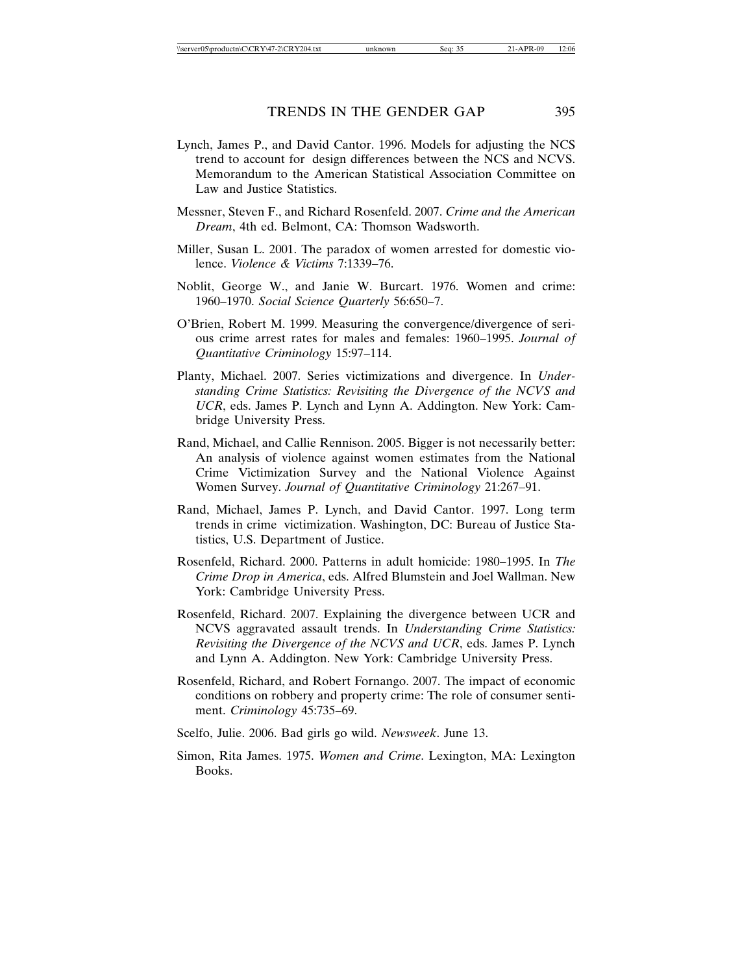- Lynch, James P., and David Cantor. 1996. Models for adjusting the NCS trend to account for design differences between the NCS and NCVS. Memorandum to the American Statistical Association Committee on Law and Justice Statistics.
- Messner, Steven F., and Richard Rosenfeld. 2007. *Crime and the American Dream*, 4th ed. Belmont, CA: Thomson Wadsworth.
- Miller, Susan L. 2001. The paradox of women arrested for domestic violence. *Violence & Victims* 7:1339–76.
- Noblit, George W., and Janie W. Burcart. 1976. Women and crime: 1960–1970. *Social Science Quarterly* 56:650–7.
- O'Brien, Robert M. 1999. Measuring the convergence/divergence of serious crime arrest rates for males and females: 1960–1995. *Journal of Quantitative Criminology* 15:97–114.
- Planty, Michael. 2007. Series victimizations and divergence. In *Understanding Crime Statistics: Revisiting the Divergence of the NCVS and UCR*, eds. James P. Lynch and Lynn A. Addington. New York: Cambridge University Press.
- Rand, Michael, and Callie Rennison. 2005. Bigger is not necessarily better: An analysis of violence against women estimates from the National Crime Victimization Survey and the National Violence Against Women Survey. *Journal of Quantitative Criminology* 21:267–91.
- Rand, Michael, James P. Lynch, and David Cantor. 1997. Long term trends in crime victimization. Washington, DC: Bureau of Justice Statistics, U.S. Department of Justice.
- Rosenfeld, Richard. 2000. Patterns in adult homicide: 1980–1995. In *The Crime Drop in America*, eds. Alfred Blumstein and Joel Wallman. New York: Cambridge University Press.
- Rosenfeld, Richard. 2007. Explaining the divergence between UCR and NCVS aggravated assault trends. In *Understanding Crime Statistics: Revisiting the Divergence of the NCVS and UCR*, eds. James P. Lynch and Lynn A. Addington. New York: Cambridge University Press.
- Rosenfeld, Richard, and Robert Fornango. 2007. The impact of economic conditions on robbery and property crime: The role of consumer sentiment. *Criminology* 45:735–69.
- Scelfo, Julie. 2006. Bad girls go wild. *Newsweek*. June 13.
- Simon, Rita James. 1975. *Women and Crime*. Lexington, MA: Lexington Books.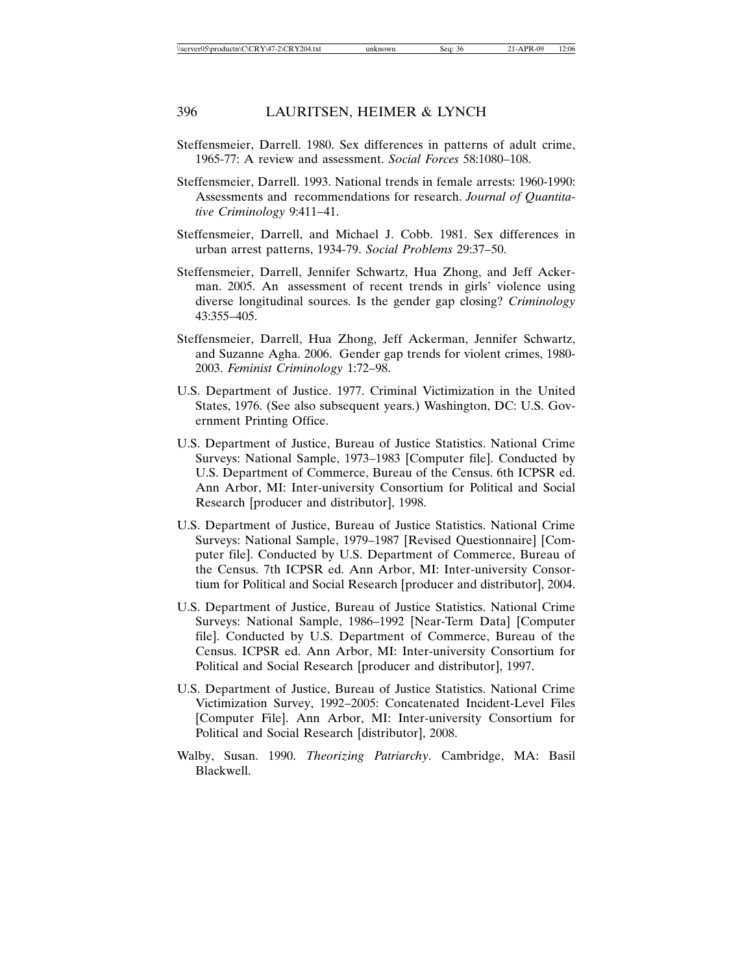- Steffensmeier, Darrell. 1980. Sex differences in patterns of adult crime, 1965-77: A review and assessment. *Social Forces* 58:1080–108.
- Steffensmeier, Darrell. 1993. National trends in female arrests: 1960-1990: Assessments and recommendations for research. *Journal of Quantitative Criminology* 9:411–41.
- Steffensmeier, Darrell, and Michael J. Cobb. 1981. Sex differences in urban arrest patterns, 1934-79. *Social Problems* 29:37–50.
- Steffensmeier, Darrell, Jennifer Schwartz, Hua Zhong, and Jeff Ackerman. 2005. An assessment of recent trends in girls' violence using diverse longitudinal sources. Is the gender gap closing? *Criminology* 43:355–405.
- Steffensmeier, Darrell, Hua Zhong, Jeff Ackerman, Jennifer Schwartz, and Suzanne Agha. 2006. Gender gap trends for violent crimes, 1980- 2003. *Feminist Criminology* 1:72–98.
- U.S. Department of Justice. 1977. Criminal Victimization in the United States, 1976. (See also subsequent years.) Washington, DC: U.S. Government Printing Office.
- U.S. Department of Justice, Bureau of Justice Statistics. National Crime Surveys: National Sample, 1973–1983 [Computer file]. Conducted by U.S. Department of Commerce, Bureau of the Census. 6th ICPSR ed. Ann Arbor, MI: Inter-university Consortium for Political and Social Research [producer and distributor], 1998.
- U.S. Department of Justice, Bureau of Justice Statistics. National Crime Surveys: National Sample, 1979–1987 [Revised Questionnaire] [Computer file]. Conducted by U.S. Department of Commerce, Bureau of the Census. 7th ICPSR ed. Ann Arbor, MI: Inter-university Consortium for Political and Social Research [producer and distributor], 2004.
- U.S. Department of Justice, Bureau of Justice Statistics. National Crime Surveys: National Sample, 1986–1992 [Near-Term Data] [Computer file]. Conducted by U.S. Department of Commerce, Bureau of the Census. ICPSR ed. Ann Arbor, MI: Inter-university Consortium for Political and Social Research [producer and distributor], 1997.
- U.S. Department of Justice, Bureau of Justice Statistics. National Crime Victimization Survey, 1992–2005: Concatenated Incident-Level Files [Computer File]. Ann Arbor, MI: Inter-university Consortium for Political and Social Research [distributor], 2008.
- Walby, Susan. 1990. *Theorizing Patriarchy*. Cambridge, MA: Basil Blackwell.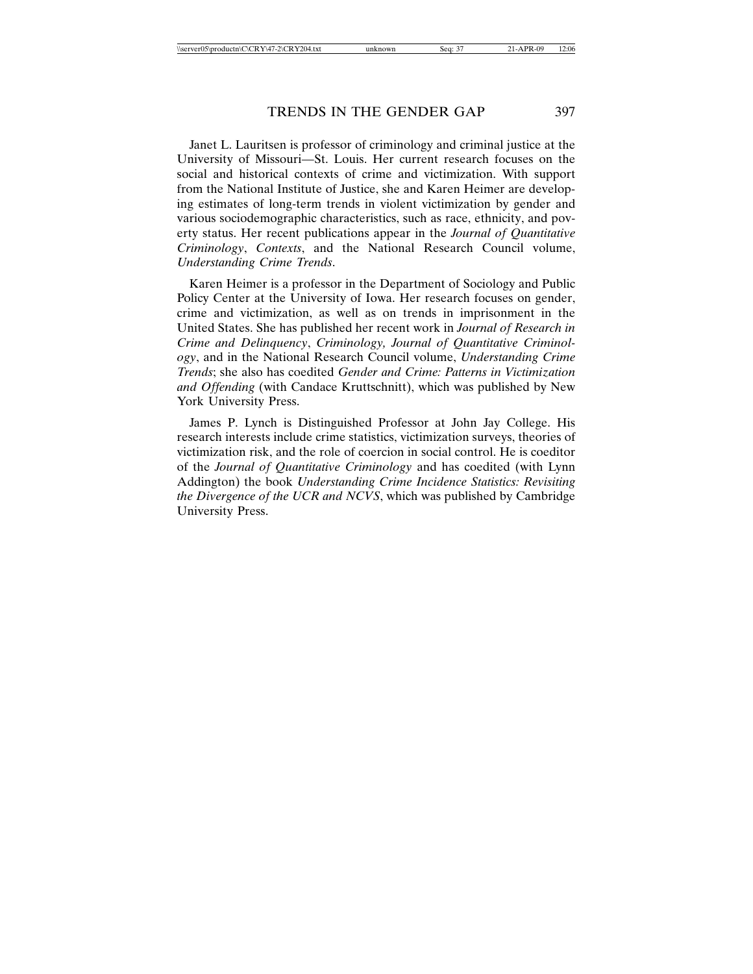Janet L. Lauritsen is professor of criminology and criminal justice at the University of Missouri—St. Louis. Her current research focuses on the social and historical contexts of crime and victimization. With support from the National Institute of Justice, she and Karen Heimer are developing estimates of long-term trends in violent victimization by gender and various sociodemographic characteristics, such as race, ethnicity, and poverty status. Her recent publications appear in the *Journal of Quantitative Criminology*, *Contexts*, and the National Research Council volume, *Understanding Crime Trends*.

Karen Heimer is a professor in the Department of Sociology and Public Policy Center at the University of Iowa. Her research focuses on gender, crime and victimization, as well as on trends in imprisonment in the United States. She has published her recent work in *Journal of Research in Crime and Delinquency*, *Criminology, Journal of Quantitative Criminology*, and in the National Research Council volume, *Understanding Crime Trends*; she also has coedited *Gender and Crime: Patterns in Victimization and Offending* (with Candace Kruttschnitt), which was published by New York University Press.

James P. Lynch is Distinguished Professor at John Jay College. His research interests include crime statistics, victimization surveys, theories of victimization risk, and the role of coercion in social control. He is coeditor of the *Journal of Quantitative Criminology* and has coedited (with Lynn Addington) the book *Understanding Crime Incidence Statistics: Revisiting the Divergence of the UCR and NCVS*, which was published by Cambridge University Press.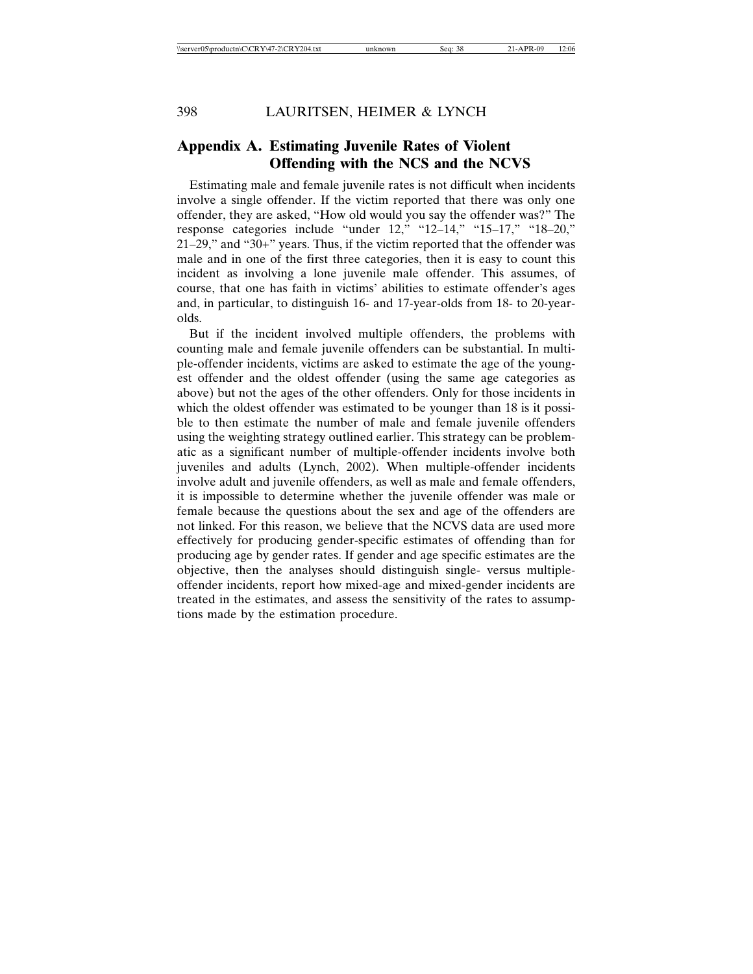## **Appendix A. Estimating Juvenile Rates of Violent Offending with the NCS and the NCVS**

Estimating male and female juvenile rates is not difficult when incidents involve a single offender. If the victim reported that there was only one offender, they are asked, "How old would you say the offender was?" The response categories include "under 12," "12–14," "15–17," "18–20," 21–29," and "30+" years. Thus, if the victim reported that the offender was male and in one of the first three categories, then it is easy to count this incident as involving a lone juvenile male offender. This assumes, of course, that one has faith in victims' abilities to estimate offender's ages and, in particular, to distinguish 16- and 17-year-olds from 18- to 20-yearolds.

But if the incident involved multiple offenders, the problems with counting male and female juvenile offenders can be substantial. In multiple-offender incidents, victims are asked to estimate the age of the youngest offender and the oldest offender (using the same age categories as above) but not the ages of the other offenders. Only for those incidents in which the oldest offender was estimated to be younger than 18 is it possible to then estimate the number of male and female juvenile offenders using the weighting strategy outlined earlier. This strategy can be problematic as a significant number of multiple-offender incidents involve both juveniles and adults (Lynch, 2002). When multiple-offender incidents involve adult and juvenile offenders, as well as male and female offenders, it is impossible to determine whether the juvenile offender was male or female because the questions about the sex and age of the offenders are not linked. For this reason, we believe that the NCVS data are used more effectively for producing gender-specific estimates of offending than for producing age by gender rates. If gender and age specific estimates are the objective, then the analyses should distinguish single- versus multipleoffender incidents, report how mixed-age and mixed-gender incidents are treated in the estimates, and assess the sensitivity of the rates to assumptions made by the estimation procedure.